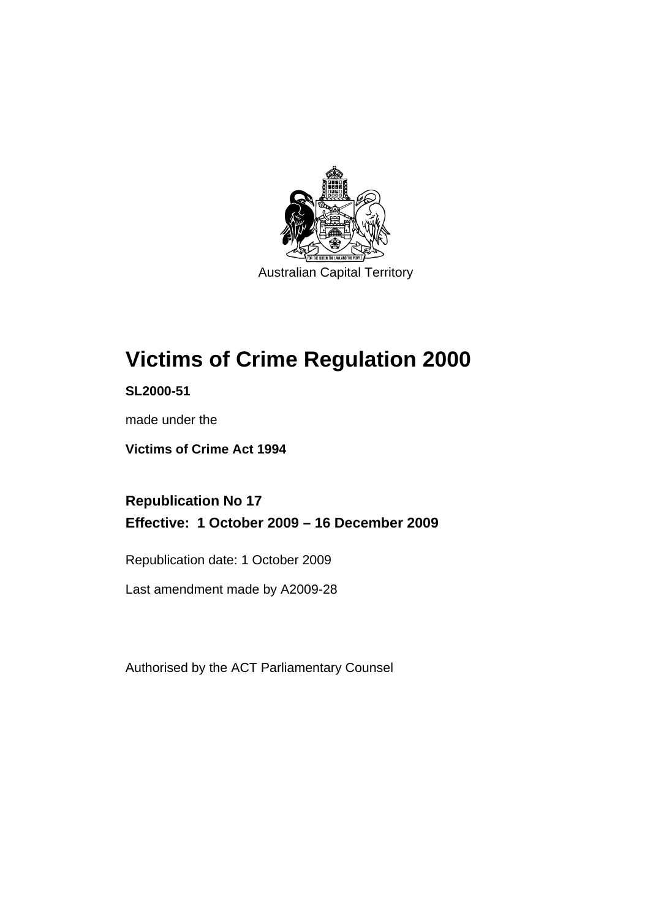

Australian Capital Territory

# **[Victims of Crime Regulation 2000](#page-6-0)**

**SL2000-51** 

made under the

**[Victims of Crime Act 1994](#page-6-0)** 

**Republication No 17 Effective: 1 October 2009 – 16 December 2009** 

Republication date: 1 October 2009

Last amendment made by A2009-28

Authorised by the ACT Parliamentary Counsel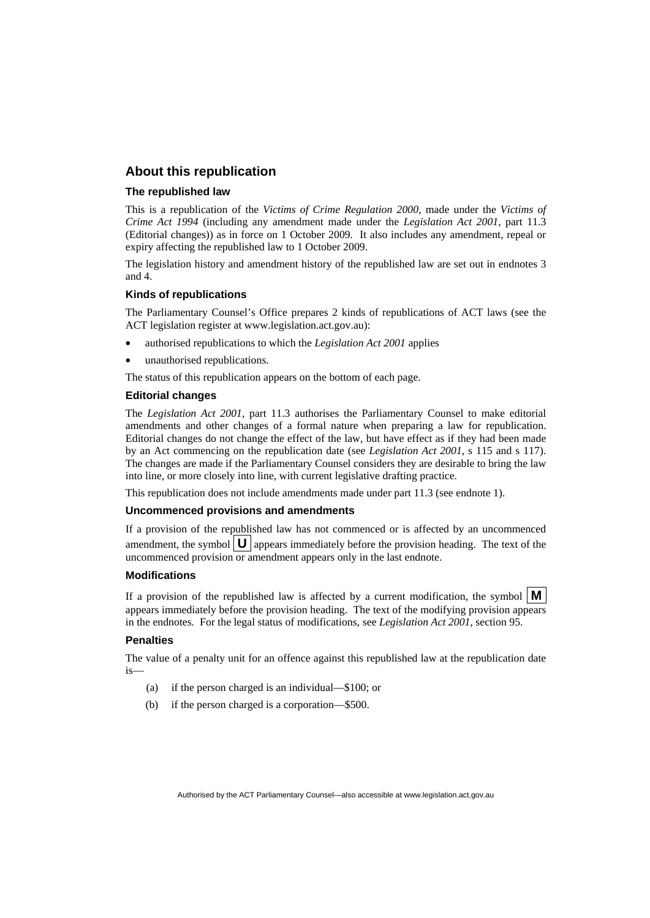## **About this republication**

## **The republished law**

This is a republication of the *Victims of Crime Regulation 2000*, made under the *[Victims of](#page-6-0)  [Crime Act 1994](#page-6-0)* (including any amendment made under the *Legislation Act 2001*, part 11.3 (Editorial changes)) as in force on 1 October 2009*.* It also includes any amendment, repeal or expiry affecting the republished law to 1 October 2009.

The legislation history and amendment history of the republished law are set out in endnotes 3 and 4.

### **Kinds of republications**

The Parliamentary Counsel's Office prepares 2 kinds of republications of ACT laws (see the ACT legislation register at www.legislation.act.gov.au):

- authorised republications to which the *Legislation Act 2001* applies
- unauthorised republications.

The status of this republication appears on the bottom of each page.

## **Editorial changes**

The *Legislation Act 2001*, part 11.3 authorises the Parliamentary Counsel to make editorial amendments and other changes of a formal nature when preparing a law for republication. Editorial changes do not change the effect of the law, but have effect as if they had been made by an Act commencing on the republication date (see *Legislation Act 2001*, s 115 and s 117). The changes are made if the Parliamentary Counsel considers they are desirable to bring the law into line, or more closely into line, with current legislative drafting practice.

This republication does not include amendments made under part 11.3 (see endnote 1).

### **Uncommenced provisions and amendments**

If a provision of the republished law has not commenced or is affected by an uncommenced amendment, the symbol  $\mathbf{U}$  appears immediately before the provision heading. The text of the uncommenced provision  $\overline{or}$  amendment appears only in the last endnote.

#### **Modifications**

If a provision of the republished law is affected by a current modification, the symbol  $\mathbf{M}$ appears immediately before the provision heading. The text of the modifying provision appears in the endnotes. For the legal status of modifications, see *Legislation Act 2001*, section 95.

#### **Penalties**

The value of a penalty unit for an offence against this republished law at the republication date is—

- (a) if the person charged is an individual—\$100; or
- (b) if the person charged is a corporation—\$500.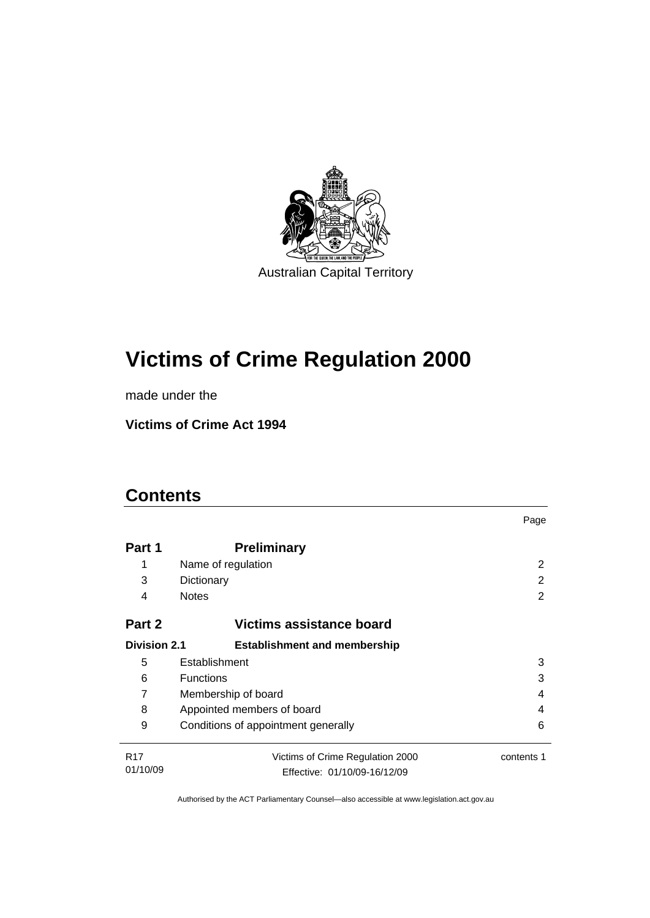

# **[Victims of Crime Regulation 2000](#page-6-0)**

made under the

**[Victims of Crime Act 1994](#page-6-0)** 

# **Contents**

|                                                            |                                          | Page       |  |  |
|------------------------------------------------------------|------------------------------------------|------------|--|--|
| Part 1                                                     | <b>Preliminary</b>                       |            |  |  |
| 1                                                          | Name of regulation                       | 2          |  |  |
| 3                                                          | Dictionary                               | 2          |  |  |
| 4                                                          | <b>Notes</b>                             | 2          |  |  |
| Part 2<br>Victims assistance board                         |                                          |            |  |  |
| <b>Division 2.1</b><br><b>Establishment and membership</b> |                                          |            |  |  |
| 5                                                          | Establishment<br>3                       |            |  |  |
| 6                                                          | <b>Functions</b><br>3                    |            |  |  |
| 7                                                          | Membership of board<br>4                 |            |  |  |
| 8                                                          | Appointed members of board<br>4          |            |  |  |
| 9                                                          | Conditions of appointment generally<br>6 |            |  |  |
| R <sub>17</sub>                                            | Victims of Crime Regulation 2000         | contents 1 |  |  |
| 01/10/09                                                   | Effective: 01/10/09-16/12/09             |            |  |  |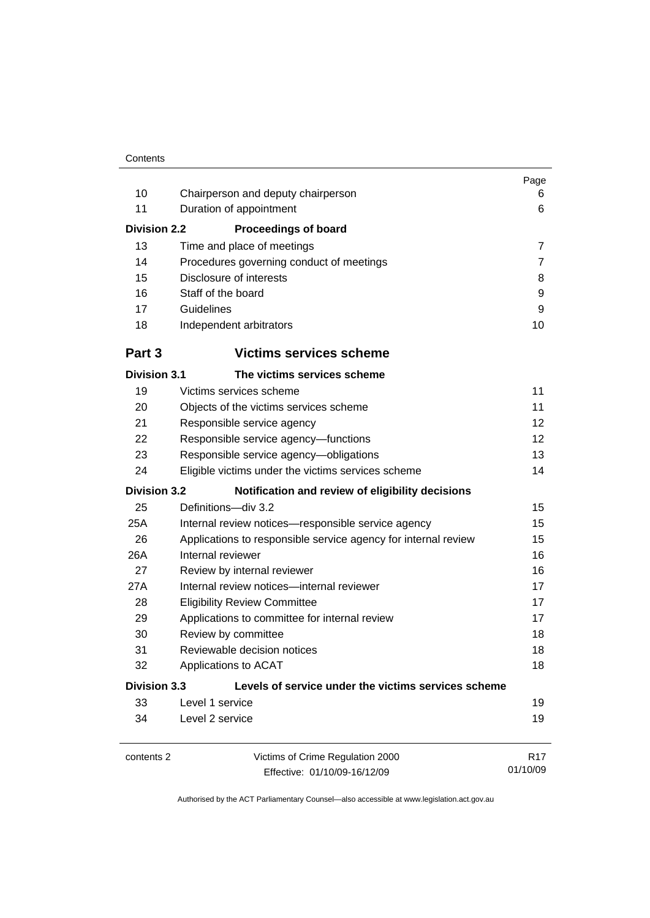|                                              |                                                                | Page<br>6                   |  |
|----------------------------------------------|----------------------------------------------------------------|-----------------------------|--|
| 10                                           | Chairperson and deputy chairperson                             |                             |  |
| 11                                           | Duration of appointment                                        | 6                           |  |
| <b>Division 2.2</b>                          | <b>Proceedings of board</b>                                    |                             |  |
| 13                                           | Time and place of meetings                                     | $\overline{7}$              |  |
| 14                                           | Procedures governing conduct of meetings                       | $\overline{7}$              |  |
| 15                                           | Disclosure of interests                                        | 8                           |  |
| 16                                           | Staff of the board                                             | 9                           |  |
| 17                                           | Guidelines                                                     | 9                           |  |
| 18                                           | Independent arbitrators                                        | 10                          |  |
| Part 3                                       | <b>Victims services scheme</b>                                 |                             |  |
| <b>Division 3.1</b>                          | The victims services scheme                                    |                             |  |
| 19                                           | Victims services scheme                                        | 11                          |  |
| 20                                           | Objects of the victims services scheme                         | 11                          |  |
| 21                                           | Responsible service agency                                     | 12                          |  |
| 22                                           | Responsible service agency-functions<br>12                     |                             |  |
| 23<br>Responsible service agency-obligations |                                                                |                             |  |
| 24                                           | Eligible victims under the victims services scheme             |                             |  |
| <b>Division 3.2</b>                          | Notification and review of eligibility decisions               |                             |  |
| 25                                           | Definitions-div 3.2                                            | 15                          |  |
| 25A                                          | Internal review notices-responsible service agency<br>15       |                             |  |
| 26                                           | Applications to responsible service agency for internal review | 15                          |  |
| 26A                                          | 16<br>Internal reviewer                                        |                             |  |
| 27                                           | Review by internal reviewer                                    | 16                          |  |
| 27A                                          | Internal review notices-internal reviewer                      | 17                          |  |
| 28                                           | <b>Eligibility Review Committee</b><br>17                      |                             |  |
| 29                                           | 17<br>Applications to committee for internal review            |                             |  |
| 30                                           | Review by committee<br>18                                      |                             |  |
| 31                                           | Reviewable decision notices                                    | 18                          |  |
| 32                                           | 18<br>Applications to ACAT                                     |                             |  |
| <b>Division 3.3</b>                          | Levels of service under the victims services scheme            |                             |  |
| 33                                           | Level 1 service                                                | 19                          |  |
| 34                                           | Level 2 service                                                | 19                          |  |
| contents 2                                   | Victims of Crime Regulation 2000                               | R <sub>17</sub><br>01/10/09 |  |
|                                              | Effective: 01/10/09-16/12/09                                   |                             |  |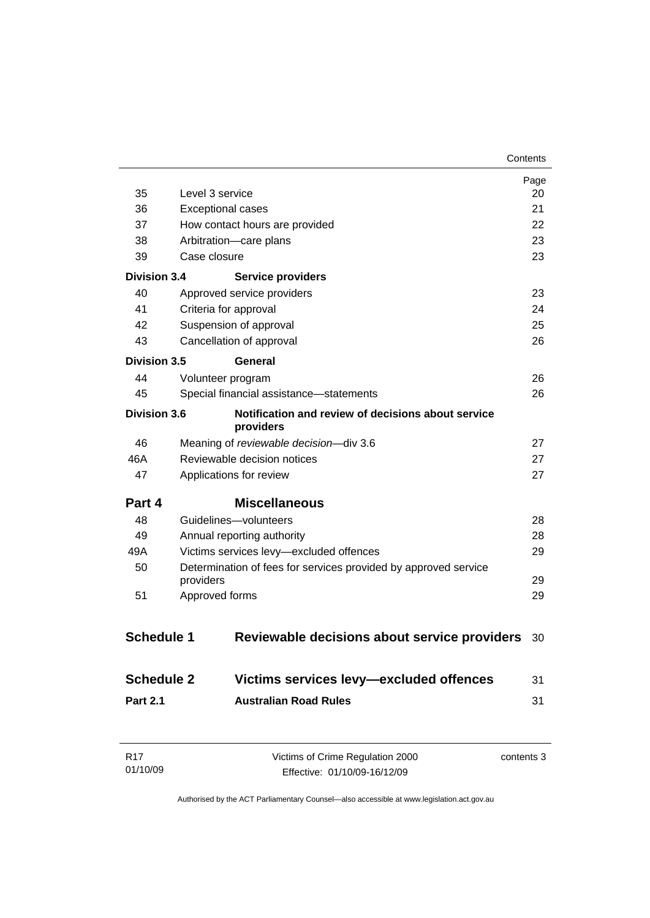|                     |                                                                 | Page<br>20 |
|---------------------|-----------------------------------------------------------------|------------|
| 35                  | Level 3 service                                                 |            |
| 36                  | <b>Exceptional cases</b>                                        | 21         |
| 37                  | How contact hours are provided                                  | 22         |
| 38                  | Arbitration-care plans                                          | 23         |
| 39                  | Case closure                                                    | 23         |
| Division 3.4        | <b>Service providers</b>                                        |            |
| 40                  | Approved service providers                                      | 23         |
| 41                  | Criteria for approval                                           | 24         |
| 42                  | Suspension of approval                                          | 25         |
| 43                  | Cancellation of approval                                        | 26         |
| <b>Division 3.5</b> | General                                                         |            |
| 44                  | Volunteer program                                               | 26         |
| 45                  | Special financial assistance-statements                         | 26         |
| <b>Division 3.6</b> | Notification and review of decisions about service<br>providers |            |
| 46                  | Meaning of reviewable decision-div 3.6                          | 27         |
| 46A                 | Reviewable decision notices<br>27                               |            |
| 47                  | Applications for review<br>27                                   |            |
| Part 4              | <b>Miscellaneous</b>                                            |            |
| 48                  | Guidelines-volunteers                                           | 28         |
| 49                  | Annual reporting authority                                      | 28         |
| 49A                 | Victims services levy-excluded offences<br>29                   |            |
| 50                  | Determination of fees for services provided by approved service |            |
|                     | providers                                                       | 29         |
| 51                  | Approved forms                                                  | 29         |
| <b>Schedule 1</b>   | Reviewable decisions about service providers                    | 30         |
| <b>Schedule 2</b>   | Victims services levy-excluded offences                         | 31         |
| <b>Part 2.1</b>     | <b>Australian Road Rules</b>                                    | 31         |
|                     |                                                                 |            |

| R17      | Victims of Crime Regulation 2000 | contents 3 |
|----------|----------------------------------|------------|
| 01/10/09 | Effective: 01/10/09-16/12/09     |            |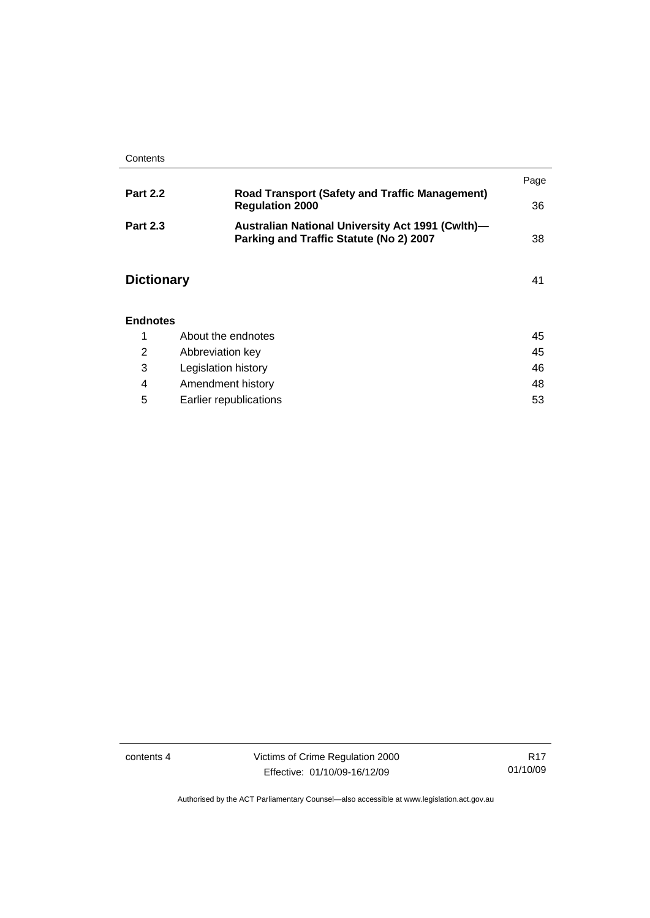|                   |                                                                                             | Page |
|-------------------|---------------------------------------------------------------------------------------------|------|
| <b>Part 2.2</b>   | <b>Road Transport (Safety and Traffic Management)</b><br><b>Regulation 2000</b>             | 36   |
| <b>Part 2.3</b>   | Australian National University Act 1991 (Cwlth)-<br>Parking and Traffic Statute (No 2) 2007 | 38   |
| <b>Dictionary</b> |                                                                                             | 41   |
| <b>Endnotes</b>   |                                                                                             |      |
| 1                 | About the endnotes                                                                          | 45   |
| 2                 | Abbreviation key                                                                            | 45   |

|   | Legislation history    | 46 |
|---|------------------------|----|
|   | Amendment history      | 48 |
| 5 | Earlier republications | 53 |

contents 4 Victims of Crime Regulation 2000 Effective: 01/10/09-16/12/09

R17 01/10/09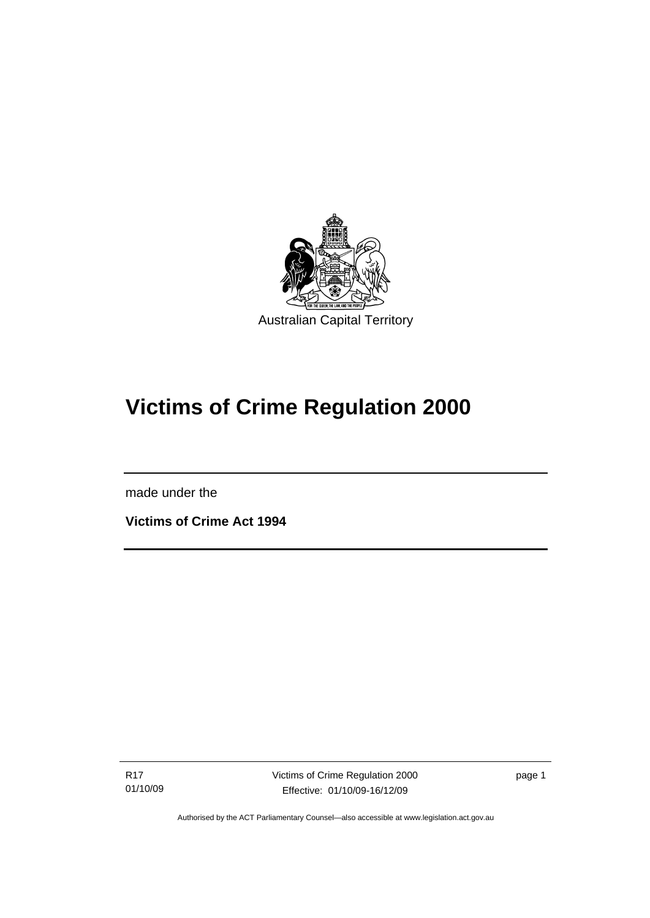<span id="page-6-0"></span>

# **Victims of Crime Regulation 2000**

made under the

I

**Victims of Crime Act 1994** 

R17 01/10/09 Victims of Crime Regulation 2000 Effective: 01/10/09-16/12/09

page 1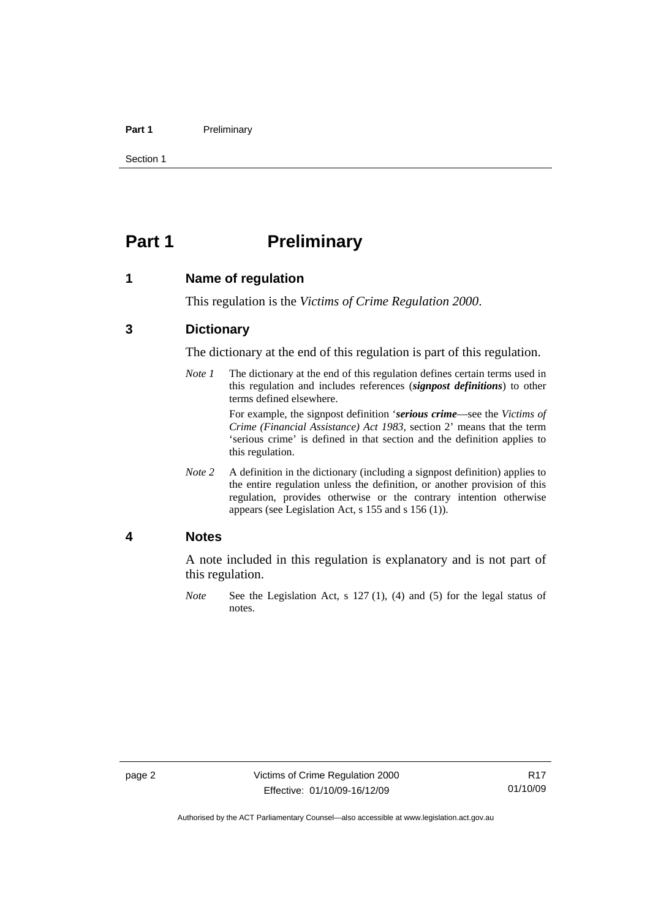### <span id="page-7-0"></span>Part 1 **Preliminary**

Section 1

# **Part 1** Preliminary

## **1 Name of regulation**

This regulation is the *Victims of Crime Regulation 2000*.

# **3 Dictionary**

The dictionary at the end of this regulation is part of this regulation.

*Note 1* The dictionary at the end of this regulation defines certain terms used in this regulation and includes references (*signpost definitions*) to other terms defined elsewhere.

> For example, the signpost definition '*serious crime*—see the *Victims of Crime (Financial Assistance) Act 1983*, section 2' means that the term 'serious crime' is defined in that section and the definition applies to this regulation.

*Note 2* A definition in the dictionary (including a signpost definition) applies to the entire regulation unless the definition, or another provision of this regulation, provides otherwise or the contrary intention otherwise appears (see Legislation Act, s 155 and s 156 (1)).

## **4 Notes**

A note included in this regulation is explanatory and is not part of this regulation.

*Note* See the Legislation Act, s 127 (1), (4) and (5) for the legal status of notes.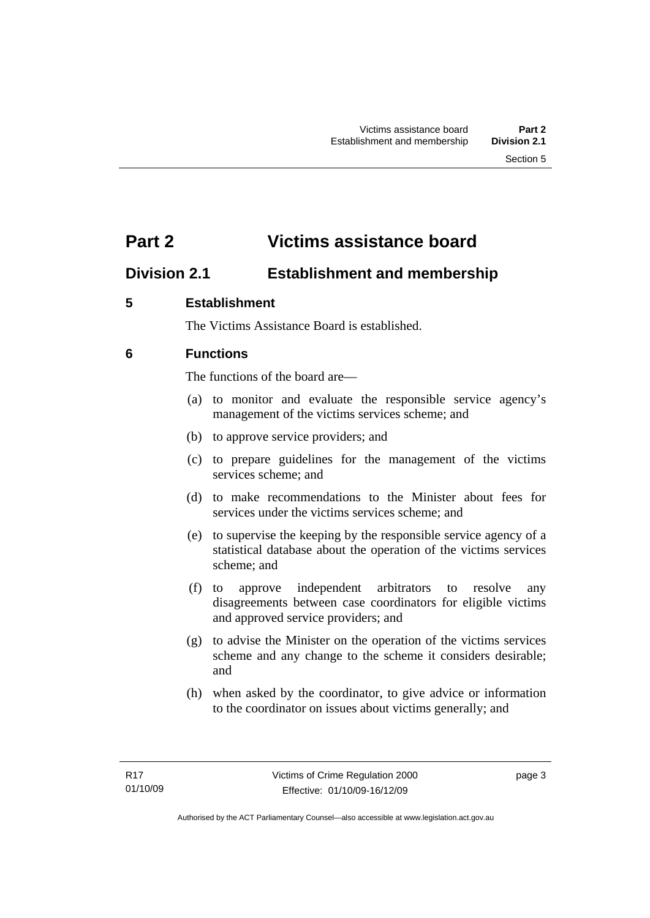# <span id="page-8-0"></span>**Part 2 Victims assistance board**

# **Division 2.1 Establishment and membership**

# **5 Establishment**

The Victims Assistance Board is established.

# **6 Functions**

The functions of the board are—

- (a) to monitor and evaluate the responsible service agency's management of the victims services scheme; and
- (b) to approve service providers; and
- (c) to prepare guidelines for the management of the victims services scheme; and
- (d) to make recommendations to the Minister about fees for services under the victims services scheme; and
- (e) to supervise the keeping by the responsible service agency of a statistical database about the operation of the victims services scheme; and
- (f) to approve independent arbitrators to resolve any disagreements between case coordinators for eligible victims and approved service providers; and
- (g) to advise the Minister on the operation of the victims services scheme and any change to the scheme it considers desirable; and
- (h) when asked by the coordinator, to give advice or information to the coordinator on issues about victims generally; and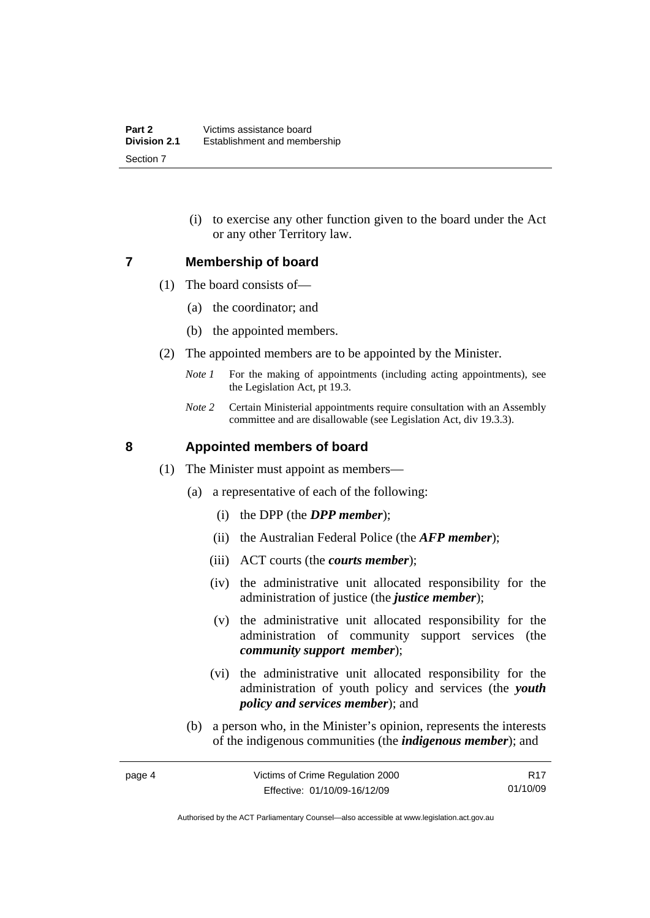(i) to exercise any other function given to the board under the Act or any other Territory law.

## <span id="page-9-0"></span>**7 Membership of board**

- (1) The board consists of—
	- (a) the coordinator; and
	- (b) the appointed members.
- (2) The appointed members are to be appointed by the Minister.
	- *Note 1* For the making of appointments (including acting appointments), see the Legislation Act, pt 19.3.
	- *Note 2* Certain Ministerial appointments require consultation with an Assembly committee and are disallowable (see Legislation Act, div 19.3.3).

# **8 Appointed members of board**

- (1) The Minister must appoint as members—
	- (a) a representative of each of the following:
		- (i) the DPP (the *DPP member*);
		- (ii) the Australian Federal Police (the *AFP member*);
		- (iii) ACT courts (the *courts member*);
		- (iv) the administrative unit allocated responsibility for the administration of justice (the *justice member*);
		- (v) the administrative unit allocated responsibility for the administration of community support services (the *community support member*);
		- (vi) the administrative unit allocated responsibility for the administration of youth policy and services (the *youth policy and services member*); and
	- (b) a person who, in the Minister's opinion, represents the interests of the indigenous communities (the *indigenous member*); and

R17 01/10/09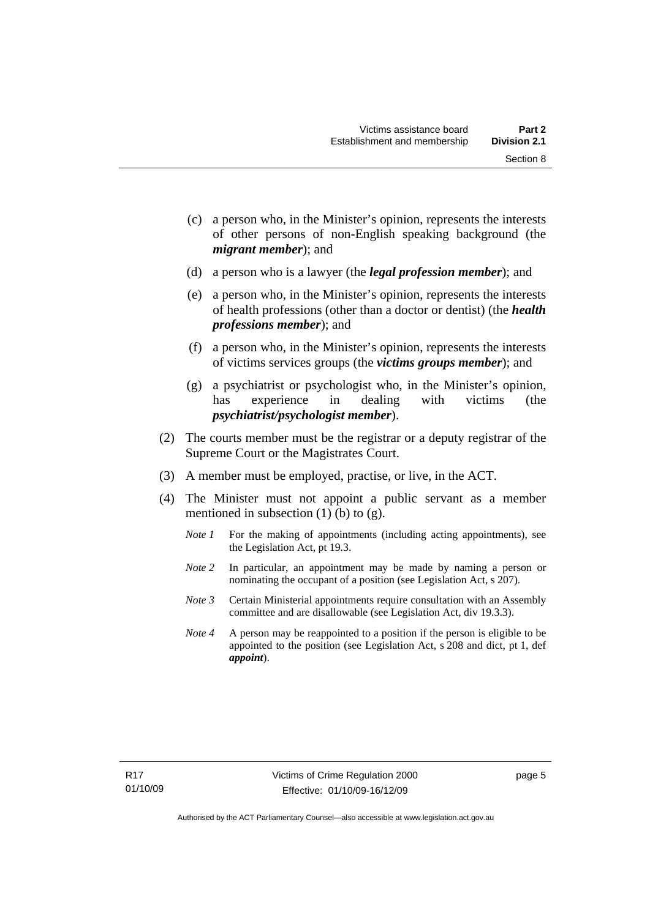Section 8

- (c) a person who, in the Minister's opinion, represents the interests of other persons of non-English speaking background (the
- (d) a person who is a lawyer (the *legal profession member*); and

*migrant member*); and

- (e) a person who, in the Minister's opinion, represents the interests of health professions (other than a doctor or dentist) (the *health professions member*); and
- (f) a person who, in the Minister's opinion, represents the interests of victims services groups (the *victims groups member*); and
- (g) a psychiatrist or psychologist who, in the Minister's opinion, has experience in dealing with victims (the *psychiatrist/psychologist member*).
- (2) The courts member must be the registrar or a deputy registrar of the Supreme Court or the Magistrates Court.
- (3) A member must be employed, practise, or live, in the ACT.
- (4) The Minister must not appoint a public servant as a member mentioned in subsection  $(1)$  (b) to  $(g)$ .
	- *Note 1* For the making of appointments (including acting appointments), see the Legislation Act, pt 19.3.
	- *Note 2* In particular, an appointment may be made by naming a person or nominating the occupant of a position (see Legislation Act, s 207).
	- *Note 3* Certain Ministerial appointments require consultation with an Assembly committee and are disallowable (see Legislation Act, div 19.3.3).
	- *Note 4* A person may be reappointed to a position if the person is eligible to be appointed to the position (see Legislation Act, s 208 and dict, pt 1, def *appoint*).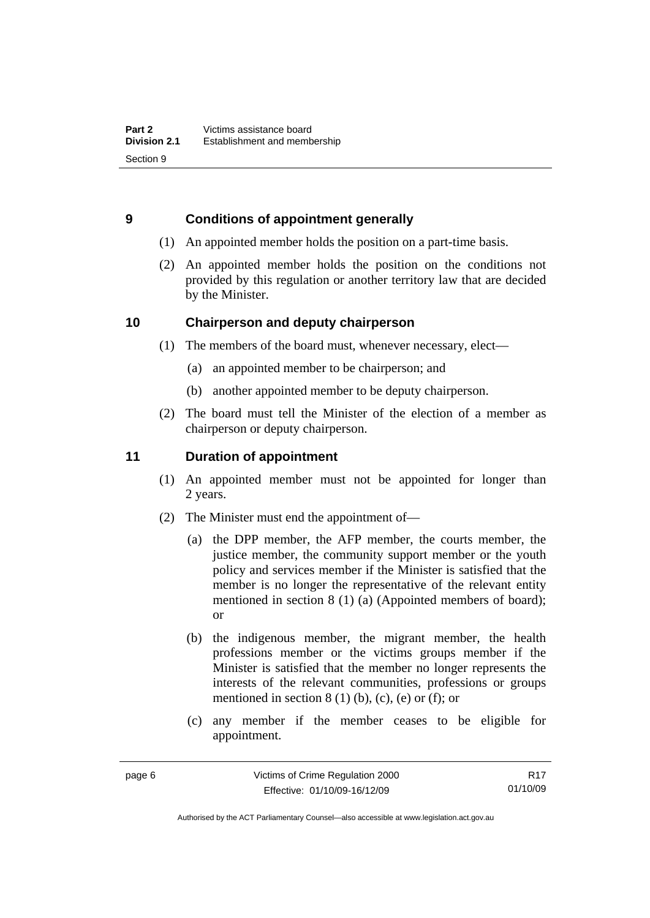# <span id="page-11-0"></span>**9 Conditions of appointment generally**

- (1) An appointed member holds the position on a part-time basis.
- (2) An appointed member holds the position on the conditions not provided by this regulation or another territory law that are decided by the Minister.

# **10 Chairperson and deputy chairperson**

- (1) The members of the board must, whenever necessary, elect—
	- (a) an appointed member to be chairperson; and
	- (b) another appointed member to be deputy chairperson.
- (2) The board must tell the Minister of the election of a member as chairperson or deputy chairperson.

# **11 Duration of appointment**

- (1) An appointed member must not be appointed for longer than 2 years.
- (2) The Minister must end the appointment of—
	- (a) the DPP member, the AFP member, the courts member, the justice member, the community support member or the youth policy and services member if the Minister is satisfied that the member is no longer the representative of the relevant entity mentioned in section 8 (1) (a) (Appointed members of board); or
	- (b) the indigenous member, the migrant member, the health professions member or the victims groups member if the Minister is satisfied that the member no longer represents the interests of the relevant communities, professions or groups mentioned in section  $8(1)$  (b), (c), (e) or (f); or
	- (c) any member if the member ceases to be eligible for appointment.

R17 01/10/09

Authorised by the ACT Parliamentary Counsel—also accessible at www.legislation.act.gov.au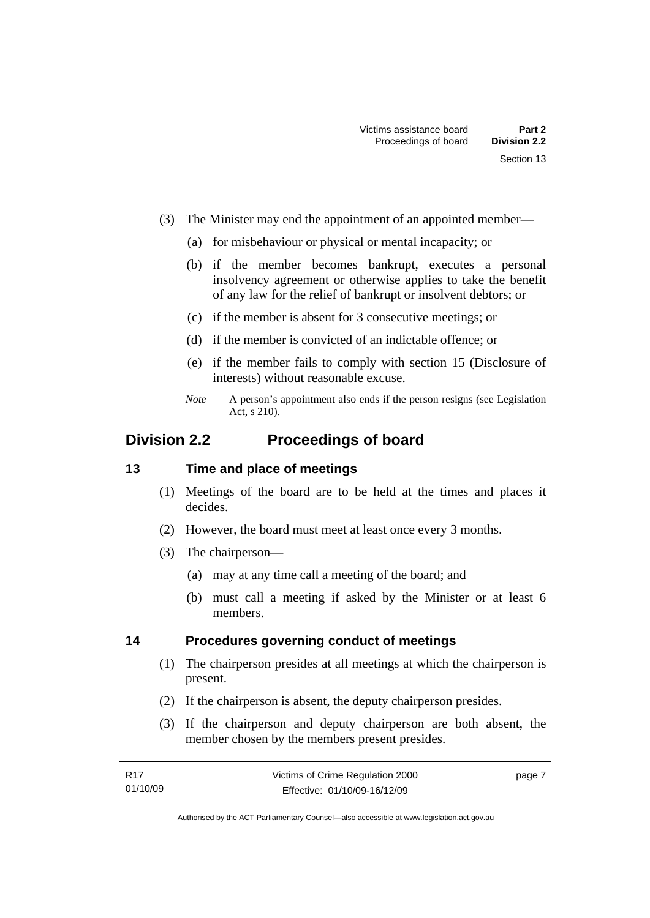- <span id="page-12-0"></span> (3) The Minister may end the appointment of an appointed member—
	- (a) for misbehaviour or physical or mental incapacity; or
	- (b) if the member becomes bankrupt, executes a personal insolvency agreement or otherwise applies to take the benefit of any law for the relief of bankrupt or insolvent debtors; or
	- (c) if the member is absent for 3 consecutive meetings; or
	- (d) if the member is convicted of an indictable offence; or
	- (e) if the member fails to comply with section 15 (Disclosure of interests) without reasonable excuse.
	- *Note* A person's appointment also ends if the person resigns (see Legislation Act, s 210).

# **Division 2.2 Proceedings of board**

## **13 Time and place of meetings**

- (1) Meetings of the board are to be held at the times and places it decides.
- (2) However, the board must meet at least once every 3 months.
- (3) The chairperson—
	- (a) may at any time call a meeting of the board; and
	- (b) must call a meeting if asked by the Minister or at least 6 members.

## **14 Procedures governing conduct of meetings**

- (1) The chairperson presides at all meetings at which the chairperson is present.
- (2) If the chairperson is absent, the deputy chairperson presides.
- (3) If the chairperson and deputy chairperson are both absent, the member chosen by the members present presides.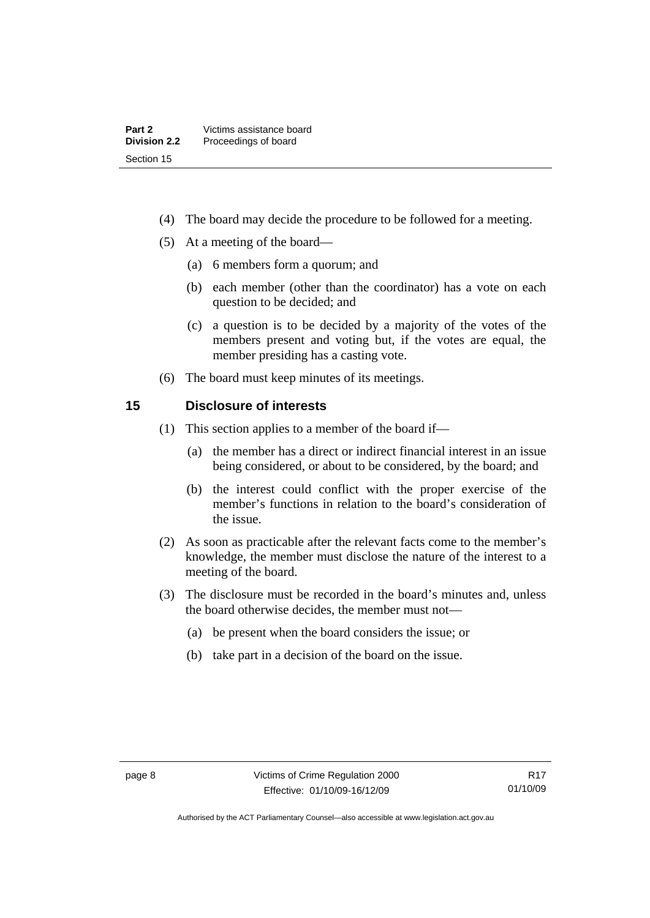- <span id="page-13-0"></span>(4) The board may decide the procedure to be followed for a meeting.
- (5) At a meeting of the board—
	- (a) 6 members form a quorum; and
	- (b) each member (other than the coordinator) has a vote on each question to be decided; and
	- (c) a question is to be decided by a majority of the votes of the members present and voting but, if the votes are equal, the member presiding has a casting vote.
- (6) The board must keep minutes of its meetings.

## **15 Disclosure of interests**

- (1) This section applies to a member of the board if—
	- (a) the member has a direct or indirect financial interest in an issue being considered, or about to be considered, by the board; and
	- (b) the interest could conflict with the proper exercise of the member's functions in relation to the board's consideration of the issue.
- (2) As soon as practicable after the relevant facts come to the member's knowledge, the member must disclose the nature of the interest to a meeting of the board.
- (3) The disclosure must be recorded in the board's minutes and, unless the board otherwise decides, the member must not—
	- (a) be present when the board considers the issue; or
	- (b) take part in a decision of the board on the issue.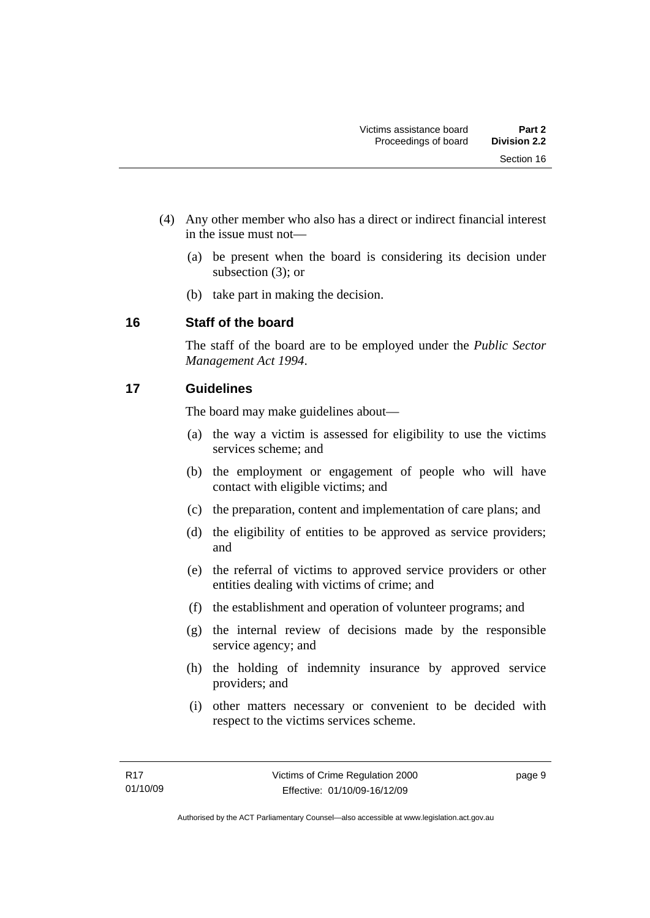- <span id="page-14-0"></span> (4) Any other member who also has a direct or indirect financial interest in the issue must not—
	- (a) be present when the board is considering its decision under subsection (3); or
	- (b) take part in making the decision.

# **16 Staff of the board**

The staff of the board are to be employed under the *Public Sector Management Act 1994*.

# **17 Guidelines**

The board may make guidelines about—

- (a) the way a victim is assessed for eligibility to use the victims services scheme; and
- (b) the employment or engagement of people who will have contact with eligible victims; and
- (c) the preparation, content and implementation of care plans; and
- (d) the eligibility of entities to be approved as service providers; and
- (e) the referral of victims to approved service providers or other entities dealing with victims of crime; and
- (f) the establishment and operation of volunteer programs; and
- (g) the internal review of decisions made by the responsible service agency; and
- (h) the holding of indemnity insurance by approved service providers; and
- (i) other matters necessary or convenient to be decided with respect to the victims services scheme.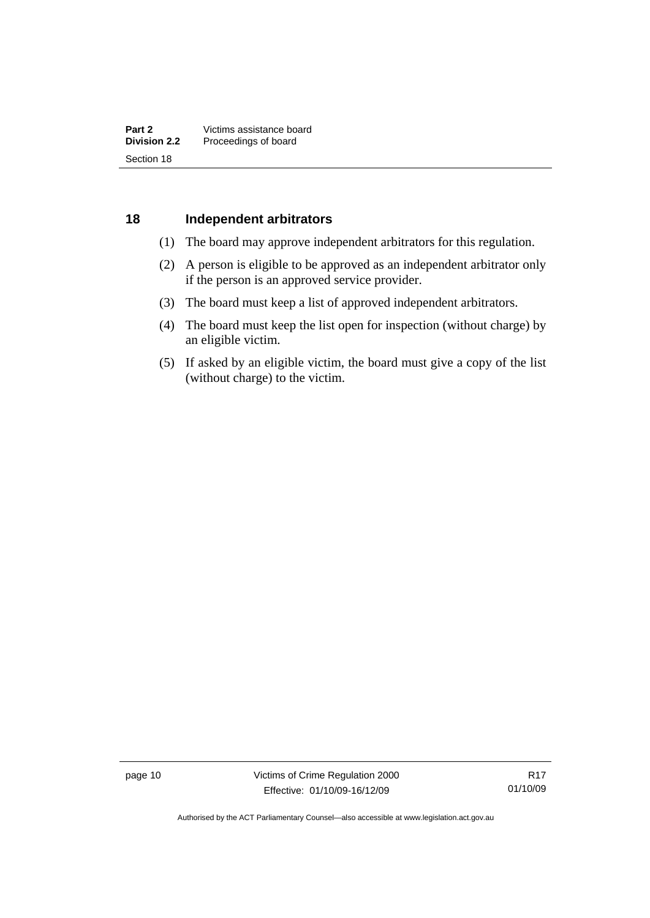## <span id="page-15-0"></span>**18 Independent arbitrators**

- (1) The board may approve independent arbitrators for this regulation.
- (2) A person is eligible to be approved as an independent arbitrator only if the person is an approved service provider.
- (3) The board must keep a list of approved independent arbitrators.
- (4) The board must keep the list open for inspection (without charge) by an eligible victim.
- (5) If asked by an eligible victim, the board must give a copy of the list (without charge) to the victim.

page 10 Victims of Crime Regulation 2000 Effective: 01/10/09-16/12/09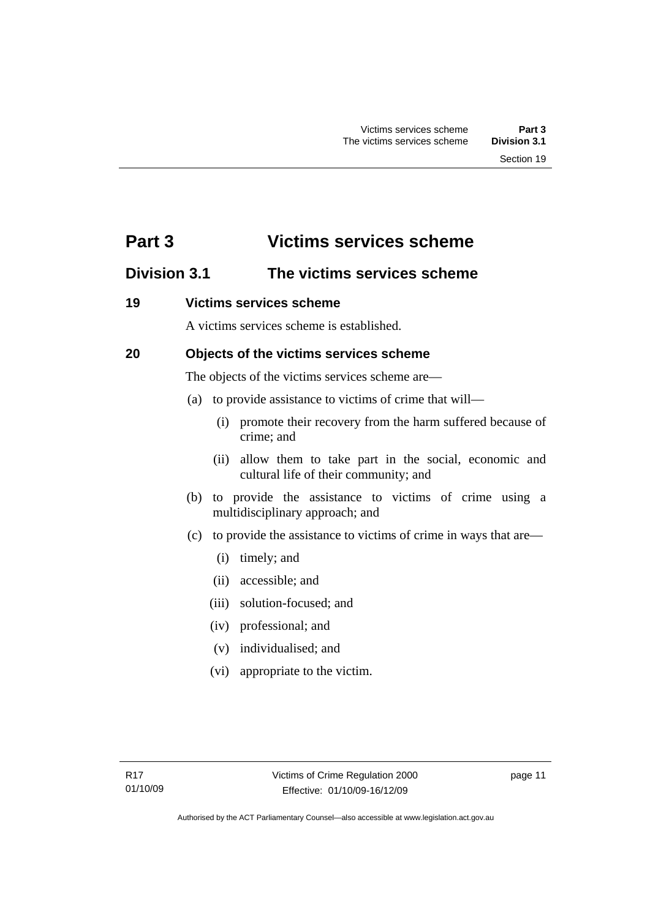# <span id="page-16-0"></span>**Part 3 Victims services scheme**

# **Division 3.1 The victims services scheme**

# **19 Victims services scheme**

A victims services scheme is established.

# **20 Objects of the victims services scheme**

The objects of the victims services scheme are—

- (a) to provide assistance to victims of crime that will—
	- (i) promote their recovery from the harm suffered because of crime; and
	- (ii) allow them to take part in the social, economic and cultural life of their community; and
- (b) to provide the assistance to victims of crime using a multidisciplinary approach; and
- (c) to provide the assistance to victims of crime in ways that are—
	- (i) timely; and
	- (ii) accessible; and
	- (iii) solution-focused; and
	- (iv) professional; and
	- (v) individualised; and
	- (vi) appropriate to the victim.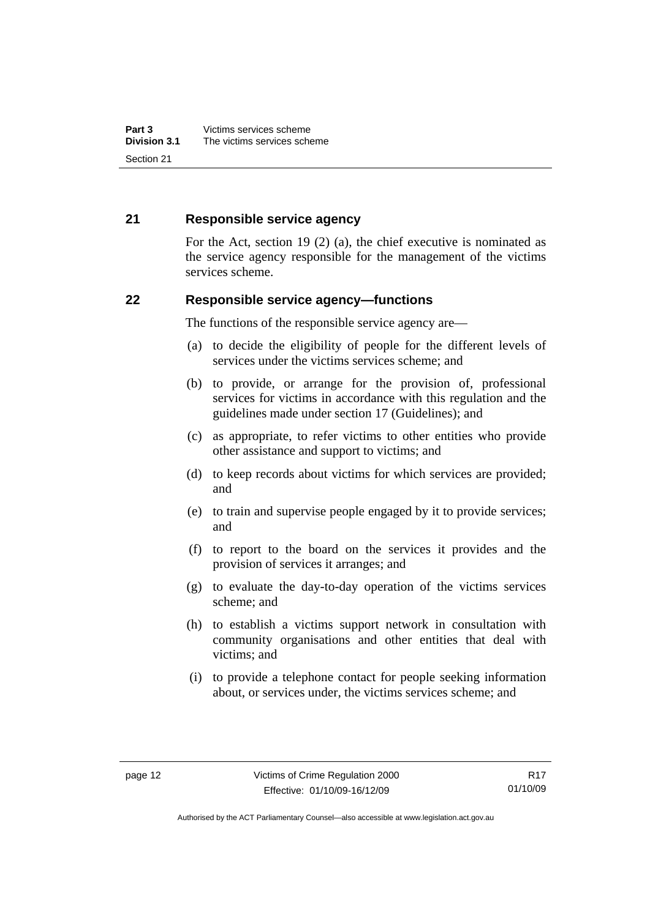# <span id="page-17-0"></span>**21 Responsible service agency**

For the Act, section 19 (2) (a), the chief executive is nominated as the service agency responsible for the management of the victims services scheme.

## **22 Responsible service agency—functions**

The functions of the responsible service agency are—

- (a) to decide the eligibility of people for the different levels of services under the victims services scheme; and
- (b) to provide, or arrange for the provision of, professional services for victims in accordance with this regulation and the guidelines made under section 17 (Guidelines); and
- (c) as appropriate, to refer victims to other entities who provide other assistance and support to victims; and
- (d) to keep records about victims for which services are provided; and
- (e) to train and supervise people engaged by it to provide services; and
- (f) to report to the board on the services it provides and the provision of services it arranges; and
- (g) to evaluate the day-to-day operation of the victims services scheme; and
- (h) to establish a victims support network in consultation with community organisations and other entities that deal with victims; and
- (i) to provide a telephone contact for people seeking information about, or services under, the victims services scheme; and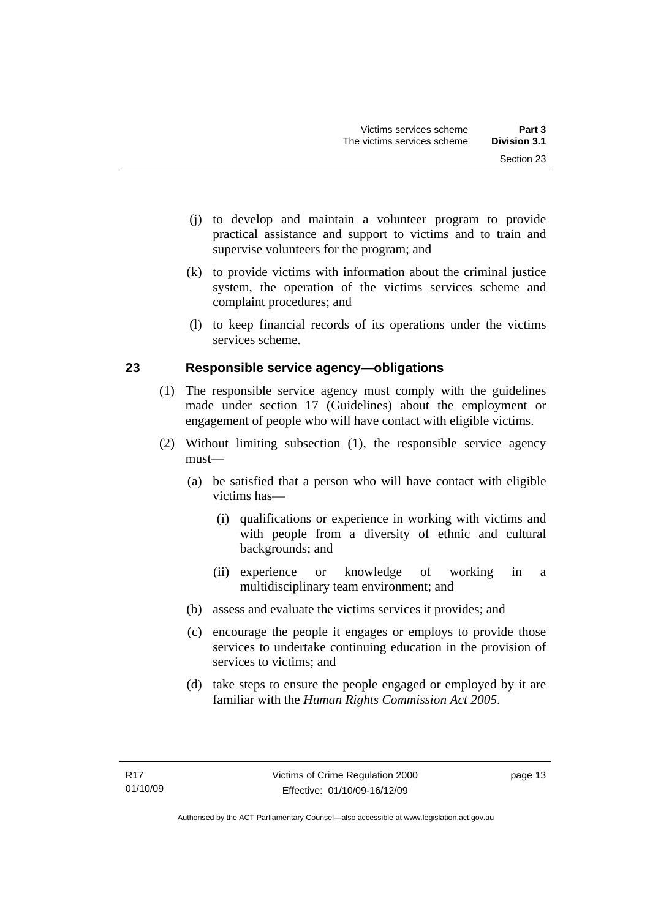- <span id="page-18-0"></span> (j) to develop and maintain a volunteer program to provide practical assistance and support to victims and to train and supervise volunteers for the program; and
- (k) to provide victims with information about the criminal justice system, the operation of the victims services scheme and complaint procedures; and
- (l) to keep financial records of its operations under the victims services scheme.

# **23 Responsible service agency—obligations**

- (1) The responsible service agency must comply with the guidelines made under section 17 (Guidelines) about the employment or engagement of people who will have contact with eligible victims.
- (2) Without limiting subsection (1), the responsible service agency must—
	- (a) be satisfied that a person who will have contact with eligible victims has—
		- (i) qualifications or experience in working with victims and with people from a diversity of ethnic and cultural backgrounds; and
		- (ii) experience or knowledge of working in a multidisciplinary team environment; and
	- (b) assess and evaluate the victims services it provides; and
	- (c) encourage the people it engages or employs to provide those services to undertake continuing education in the provision of services to victims; and
	- (d) take steps to ensure the people engaged or employed by it are familiar with the *Human Rights Commission Act 2005*.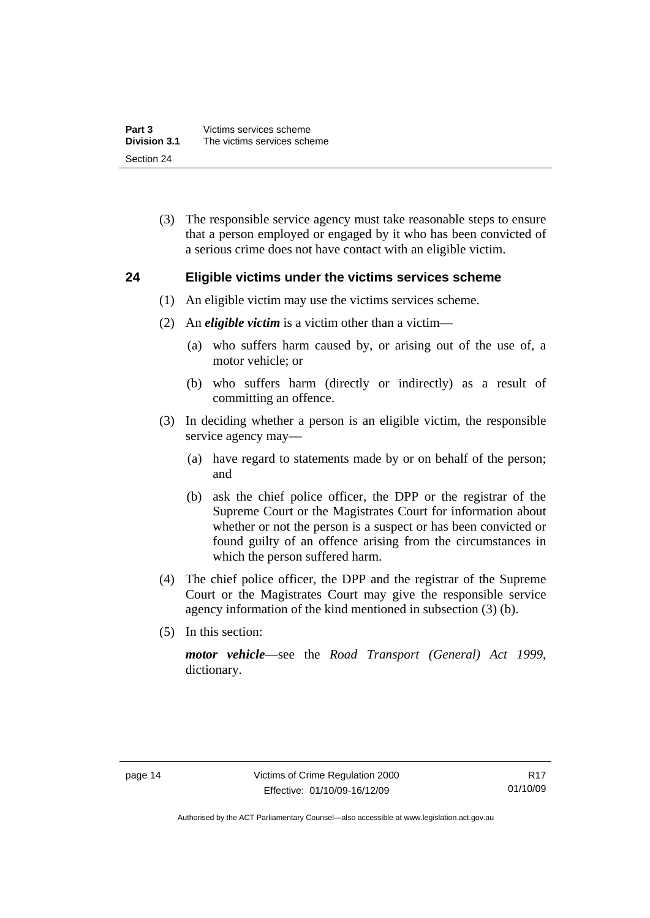<span id="page-19-0"></span> (3) The responsible service agency must take reasonable steps to ensure that a person employed or engaged by it who has been convicted of a serious crime does not have contact with an eligible victim.

## **24 Eligible victims under the victims services scheme**

- (1) An eligible victim may use the victims services scheme.
- (2) An *eligible victim* is a victim other than a victim—
	- (a) who suffers harm caused by, or arising out of the use of, a motor vehicle; or
	- (b) who suffers harm (directly or indirectly) as a result of committing an offence.
- (3) In deciding whether a person is an eligible victim, the responsible service agency may—
	- (a) have regard to statements made by or on behalf of the person; and
	- (b) ask the chief police officer, the DPP or the registrar of the Supreme Court or the Magistrates Court for information about whether or not the person is a suspect or has been convicted or found guilty of an offence arising from the circumstances in which the person suffered harm.
- (4) The chief police officer, the DPP and the registrar of the Supreme Court or the Magistrates Court may give the responsible service agency information of the kind mentioned in subsection (3) (b).
- (5) In this section:

*motor vehicle*—see the *Road Transport (General) Act 1999*, dictionary.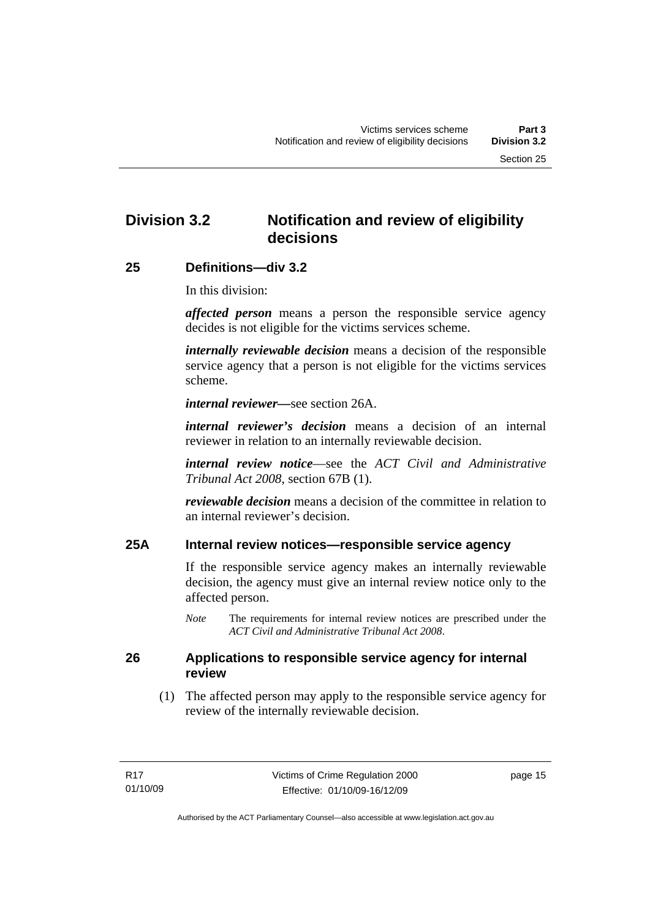# <span id="page-20-0"></span>**Division 3.2 Notification and review of eligibility decisions**

## **25 Definitions—div 3.2**

In this division:

*affected person* means a person the responsible service agency decides is not eligible for the victims services scheme.

*internally reviewable decision* means a decision of the responsible service agency that a person is not eligible for the victims services scheme.

*internal reviewer—*see section 26A.

*internal reviewer's decision* means a decision of an internal reviewer in relation to an internally reviewable decision.

*internal review notice*—see the *ACT Civil and Administrative Tribunal Act 2008*, section 67B (1).

*reviewable decision* means a decision of the committee in relation to an internal reviewer's decision.

# **25A Internal review notices—responsible service agency**

If the responsible service agency makes an internally reviewable decision, the agency must give an internal review notice only to the affected person.

*Note* The requirements for internal review notices are prescribed under the *ACT Civil and Administrative Tribunal Act 2008*.

## **26 Applications to responsible service agency for internal review**

 (1) The affected person may apply to the responsible service agency for review of the internally reviewable decision.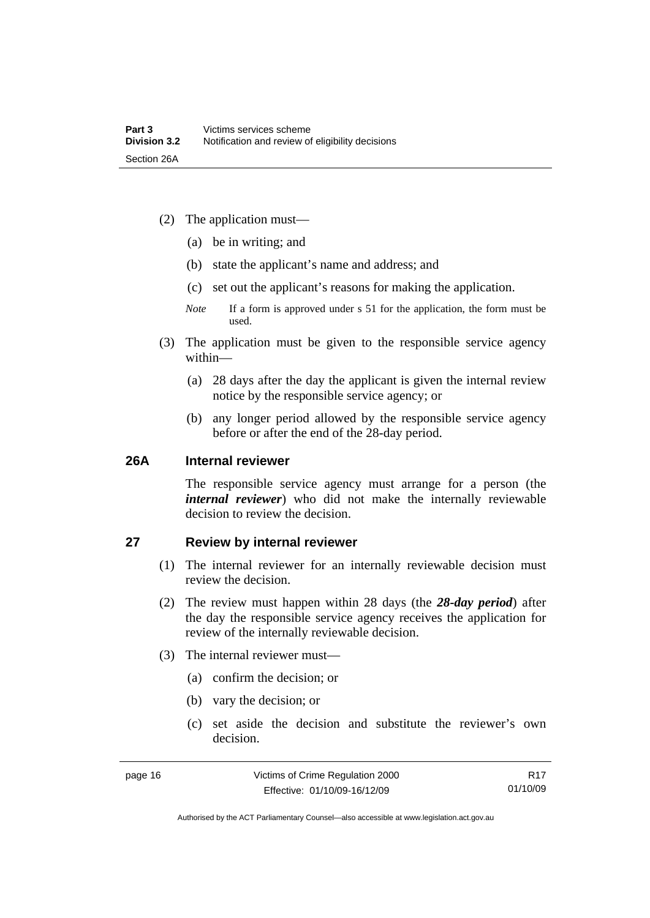- <span id="page-21-0"></span> (2) The application must—
	- (a) be in writing; and
	- (b) state the applicant's name and address; and
	- (c) set out the applicant's reasons for making the application.
	- *Note* If a form is approved under s 51 for the application, the form must be used.
- (3) The application must be given to the responsible service agency within—
	- (a) 28 days after the day the applicant is given the internal review notice by the responsible service agency; or
	- (b) any longer period allowed by the responsible service agency before or after the end of the 28-day period.

## **26A Internal reviewer**

The responsible service agency must arrange for a person (the *internal reviewer*) who did not make the internally reviewable decision to review the decision.

## **27 Review by internal reviewer**

- (1) The internal reviewer for an internally reviewable decision must review the decision.
- (2) The review must happen within 28 days (the *28-day period*) after the day the responsible service agency receives the application for review of the internally reviewable decision.
- (3) The internal reviewer must—
	- (a) confirm the decision; or
	- (b) vary the decision; or
	- (c) set aside the decision and substitute the reviewer's own decision.

Authorised by the ACT Parliamentary Counsel—also accessible at www.legislation.act.gov.au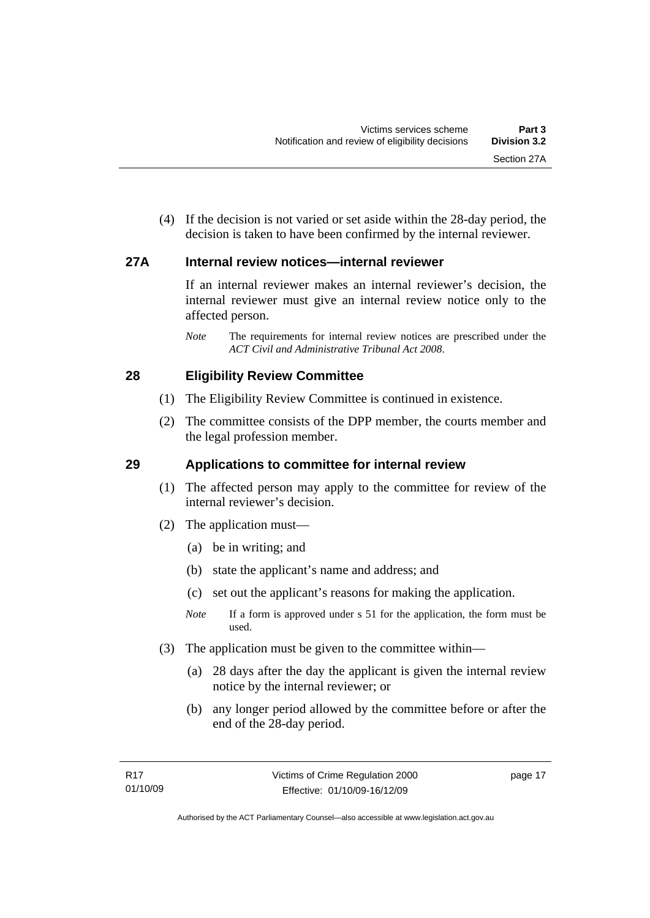<span id="page-22-0"></span> (4) If the decision is not varied or set aside within the 28-day period, the decision is taken to have been confirmed by the internal reviewer.

# **27A Internal review notices—internal reviewer**

If an internal reviewer makes an internal reviewer's decision, the internal reviewer must give an internal review notice only to the affected person.

*Note* The requirements for internal review notices are prescribed under the *ACT Civil and Administrative Tribunal Act 2008*.

# **28 Eligibility Review Committee**

- (1) The Eligibility Review Committee is continued in existence.
- (2) The committee consists of the DPP member, the courts member and the legal profession member.

# **29 Applications to committee for internal review**

- (1) The affected person may apply to the committee for review of the internal reviewer's decision.
- (2) The application must—
	- (a) be in writing; and
	- (b) state the applicant's name and address; and
	- (c) set out the applicant's reasons for making the application.
	- *Note* If a form is approved under s 51 for the application, the form must be used.
- (3) The application must be given to the committee within—
	- (a) 28 days after the day the applicant is given the internal review notice by the internal reviewer; or
	- (b) any longer period allowed by the committee before or after the end of the 28-day period.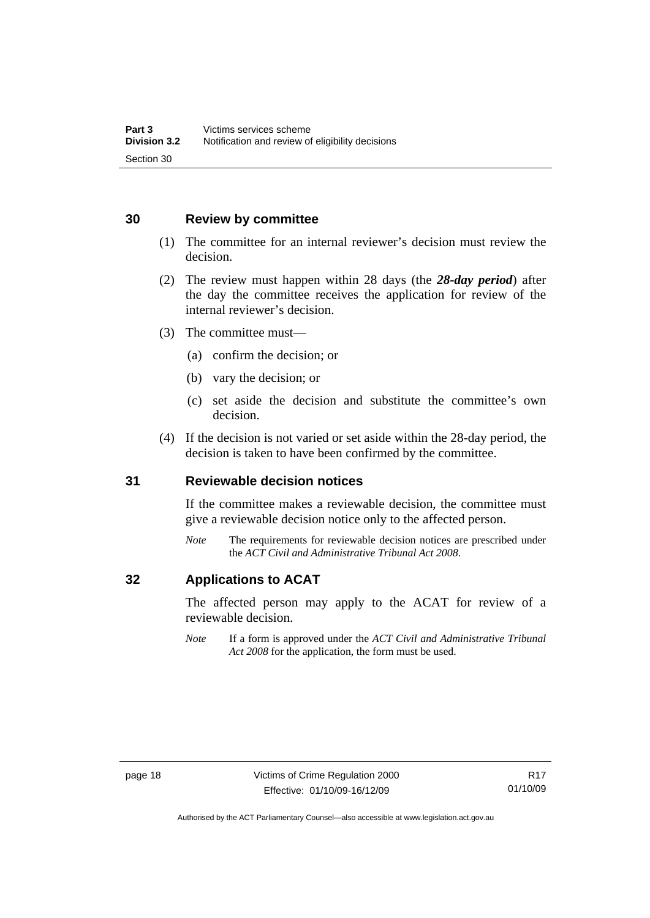# <span id="page-23-0"></span>**30 Review by committee**

- (1) The committee for an internal reviewer's decision must review the decision.
- (2) The review must happen within 28 days (the *28-day period*) after the day the committee receives the application for review of the internal reviewer's decision.
- (3) The committee must—
	- (a) confirm the decision; or
	- (b) vary the decision; or
	- (c) set aside the decision and substitute the committee's own decision.
- (4) If the decision is not varied or set aside within the 28-day period, the decision is taken to have been confirmed by the committee.

## **31 Reviewable decision notices**

If the committee makes a reviewable decision, the committee must give a reviewable decision notice only to the affected person.

*Note* The requirements for reviewable decision notices are prescribed under the *ACT Civil and Administrative Tribunal Act 2008*.

# **32 Applications to ACAT**

The affected person may apply to the ACAT for review of a reviewable decision.

*Note* If a form is approved under the *ACT Civil and Administrative Tribunal Act 2008* for the application, the form must be used.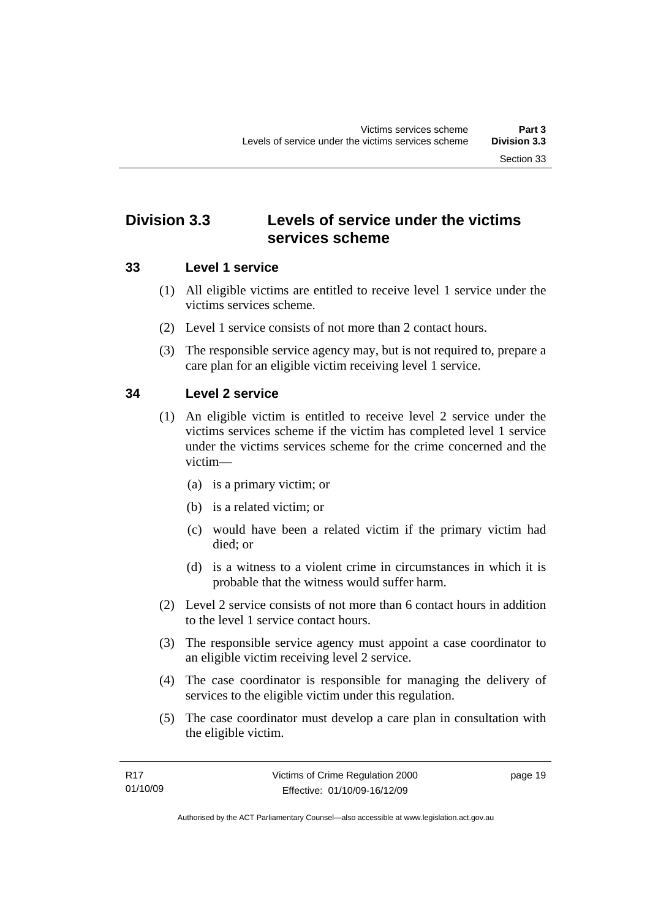# <span id="page-24-0"></span>**Division 3.3 Levels of service under the victims services scheme**

# **33 Level 1 service**

- (1) All eligible victims are entitled to receive level 1 service under the victims services scheme.
- (2) Level 1 service consists of not more than 2 contact hours.
- (3) The responsible service agency may, but is not required to, prepare a care plan for an eligible victim receiving level 1 service.

# **34 Level 2 service**

- (1) An eligible victim is entitled to receive level 2 service under the victims services scheme if the victim has completed level 1 service under the victims services scheme for the crime concerned and the victim—
	- (a) is a primary victim; or
	- (b) is a related victim; or
	- (c) would have been a related victim if the primary victim had died; or
	- (d) is a witness to a violent crime in circumstances in which it is probable that the witness would suffer harm.
- (2) Level 2 service consists of not more than 6 contact hours in addition to the level 1 service contact hours.
- (3) The responsible service agency must appoint a case coordinator to an eligible victim receiving level 2 service.
- (4) The case coordinator is responsible for managing the delivery of services to the eligible victim under this regulation.
- (5) The case coordinator must develop a care plan in consultation with the eligible victim.

page 19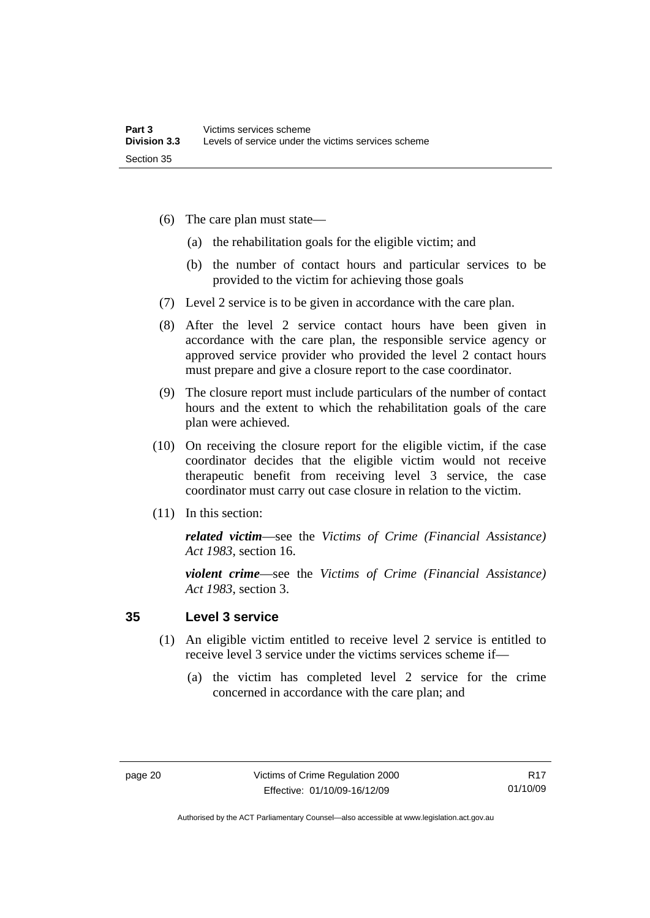- <span id="page-25-0"></span> (6) The care plan must state—
	- (a) the rehabilitation goals for the eligible victim; and
	- (b) the number of contact hours and particular services to be provided to the victim for achieving those goals
- (7) Level 2 service is to be given in accordance with the care plan.
- (8) After the level 2 service contact hours have been given in accordance with the care plan, the responsible service agency or approved service provider who provided the level 2 contact hours must prepare and give a closure report to the case coordinator.
- (9) The closure report must include particulars of the number of contact hours and the extent to which the rehabilitation goals of the care plan were achieved.
- (10) On receiving the closure report for the eligible victim, if the case coordinator decides that the eligible victim would not receive therapeutic benefit from receiving level 3 service, the case coordinator must carry out case closure in relation to the victim.
- (11) In this section:

*related victim*—see the *Victims of Crime (Financial Assistance) Act 1983*, section 16.

*violent crime*—see the *Victims of Crime (Financial Assistance) Act 1983*, section 3.

# **35 Level 3 service**

- (1) An eligible victim entitled to receive level 2 service is entitled to receive level 3 service under the victims services scheme if—
	- (a) the victim has completed level 2 service for the crime concerned in accordance with the care plan; and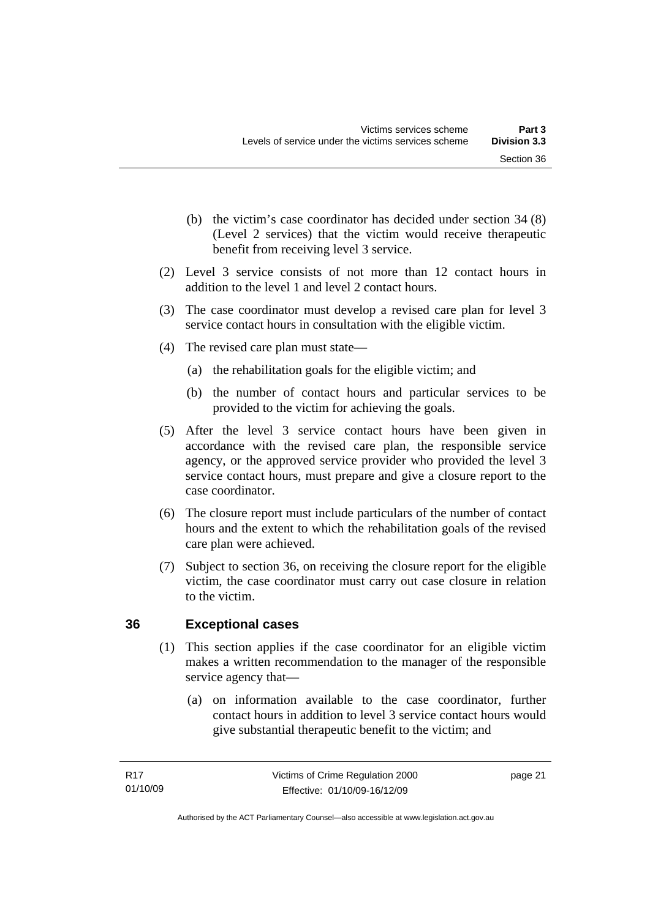- <span id="page-26-0"></span> (b) the victim's case coordinator has decided under section 34 (8) (Level 2 services) that the victim would receive therapeutic benefit from receiving level 3 service.
- (2) Level 3 service consists of not more than 12 contact hours in addition to the level 1 and level 2 contact hours.
- (3) The case coordinator must develop a revised care plan for level 3 service contact hours in consultation with the eligible victim.
- (4) The revised care plan must state—
	- (a) the rehabilitation goals for the eligible victim; and
	- (b) the number of contact hours and particular services to be provided to the victim for achieving the goals.
- (5) After the level 3 service contact hours have been given in accordance with the revised care plan, the responsible service agency, or the approved service provider who provided the level 3 service contact hours, must prepare and give a closure report to the case coordinator.
- (6) The closure report must include particulars of the number of contact hours and the extent to which the rehabilitation goals of the revised care plan were achieved.
- (7) Subject to section 36, on receiving the closure report for the eligible victim, the case coordinator must carry out case closure in relation to the victim.

# **36 Exceptional cases**

- (1) This section applies if the case coordinator for an eligible victim makes a written recommendation to the manager of the responsible service agency that—
	- (a) on information available to the case coordinator, further contact hours in addition to level 3 service contact hours would give substantial therapeutic benefit to the victim; and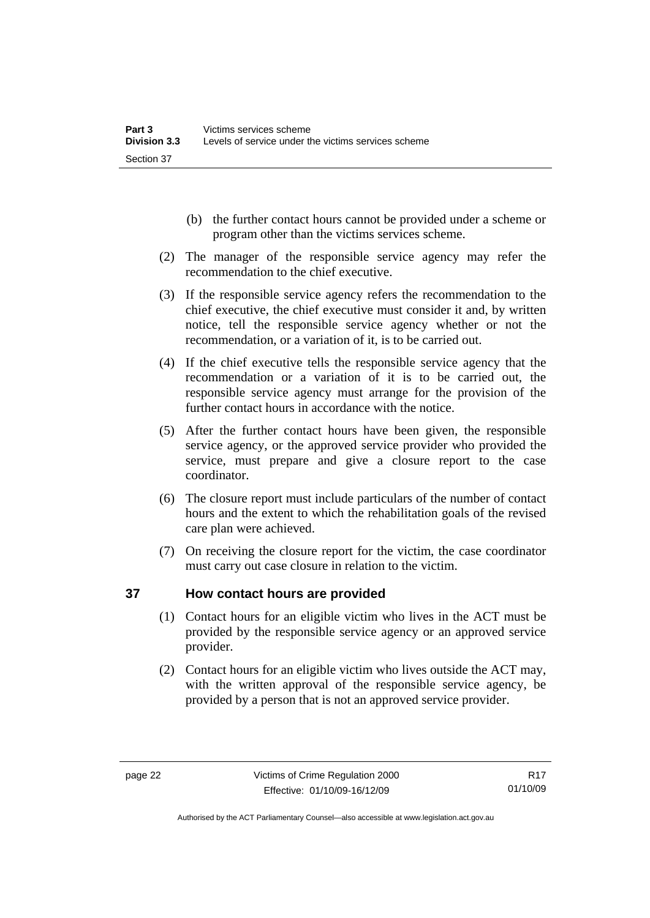- <span id="page-27-0"></span> (b) the further contact hours cannot be provided under a scheme or program other than the victims services scheme.
- (2) The manager of the responsible service agency may refer the recommendation to the chief executive.
- (3) If the responsible service agency refers the recommendation to the chief executive, the chief executive must consider it and, by written notice, tell the responsible service agency whether or not the recommendation, or a variation of it, is to be carried out.
- (4) If the chief executive tells the responsible service agency that the recommendation or a variation of it is to be carried out, the responsible service agency must arrange for the provision of the further contact hours in accordance with the notice.
- (5) After the further contact hours have been given, the responsible service agency, or the approved service provider who provided the service, must prepare and give a closure report to the case coordinator.
- (6) The closure report must include particulars of the number of contact hours and the extent to which the rehabilitation goals of the revised care plan were achieved.
- (7) On receiving the closure report for the victim, the case coordinator must carry out case closure in relation to the victim.

# **37 How contact hours are provided**

- (1) Contact hours for an eligible victim who lives in the ACT must be provided by the responsible service agency or an approved service provider.
- (2) Contact hours for an eligible victim who lives outside the ACT may, with the written approval of the responsible service agency, be provided by a person that is not an approved service provider.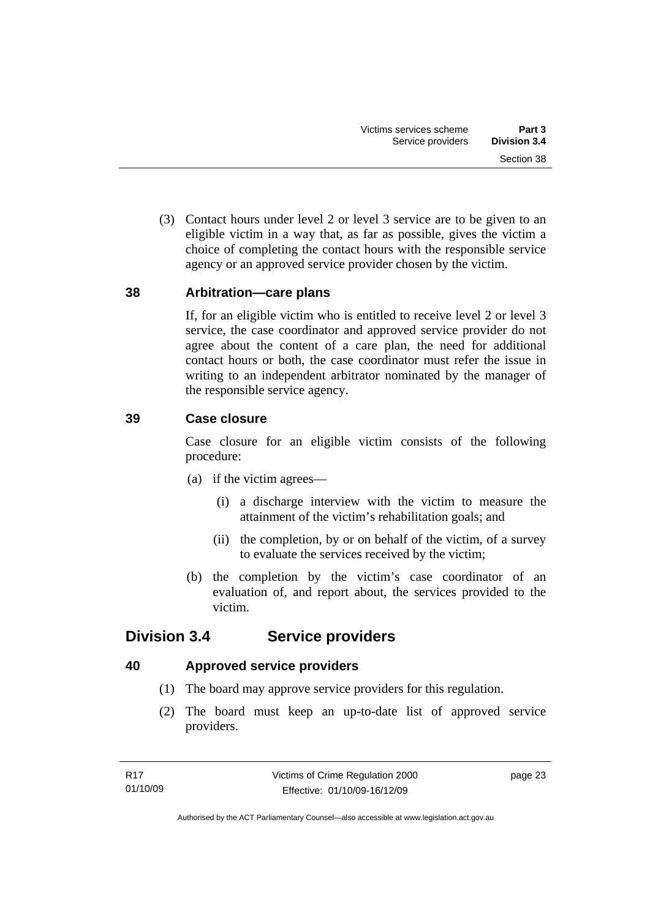<span id="page-28-0"></span> (3) Contact hours under level 2 or level 3 service are to be given to an eligible victim in a way that, as far as possible, gives the victim a choice of completing the contact hours with the responsible service agency or an approved service provider chosen by the victim.

# **38 Arbitration—care plans**

If, for an eligible victim who is entitled to receive level 2 or level 3 service, the case coordinator and approved service provider do not agree about the content of a care plan, the need for additional contact hours or both, the case coordinator must refer the issue in writing to an independent arbitrator nominated by the manager of the responsible service agency.

# **39 Case closure**

Case closure for an eligible victim consists of the following procedure:

- (a) if the victim agrees—
	- (i) a discharge interview with the victim to measure the attainment of the victim's rehabilitation goals; and
	- (ii) the completion, by or on behalf of the victim, of a survey to evaluate the services received by the victim;
- (b) the completion by the victim's case coordinator of an evaluation of, and report about, the services provided to the victim.

# **Division 3.4 Service providers**

# **40 Approved service providers**

- (1) The board may approve service providers for this regulation.
- (2) The board must keep an up-to-date list of approved service providers.

page 23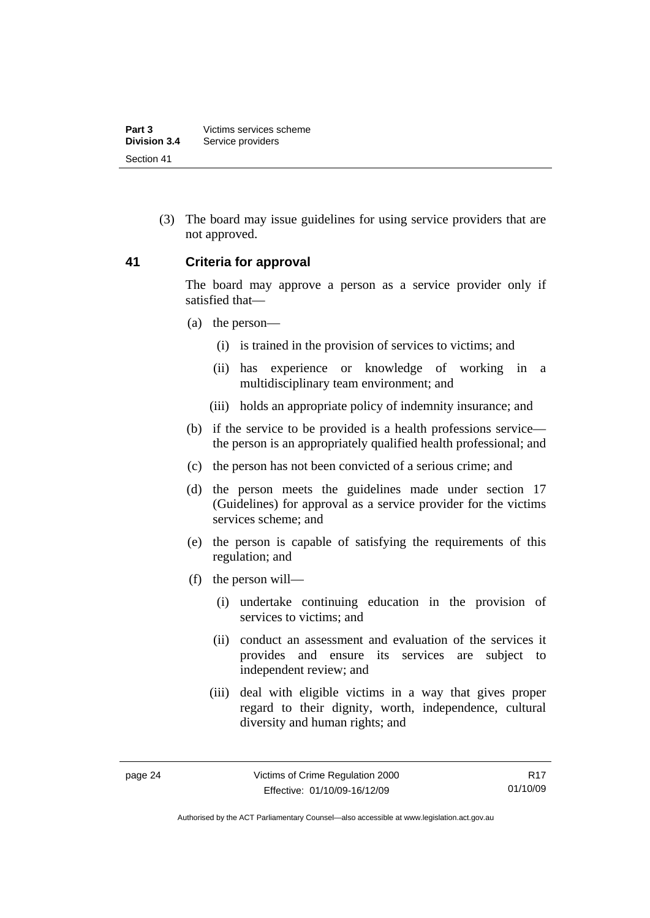<span id="page-29-0"></span> (3) The board may issue guidelines for using service providers that are not approved.

## **41 Criteria for approval**

The board may approve a person as a service provider only if satisfied that—

- (a) the person—
	- (i) is trained in the provision of services to victims; and
	- (ii) has experience or knowledge of working in a multidisciplinary team environment; and
	- (iii) holds an appropriate policy of indemnity insurance; and
- (b) if the service to be provided is a health professions service the person is an appropriately qualified health professional; and
- (c) the person has not been convicted of a serious crime; and
- (d) the person meets the guidelines made under section 17 (Guidelines) for approval as a service provider for the victims services scheme; and
- (e) the person is capable of satisfying the requirements of this regulation; and
- (f) the person will—
	- (i) undertake continuing education in the provision of services to victims; and
	- (ii) conduct an assessment and evaluation of the services it provides and ensure its services are subject to independent review; and
	- (iii) deal with eligible victims in a way that gives proper regard to their dignity, worth, independence, cultural diversity and human rights; and

Authorised by the ACT Parliamentary Counsel—also accessible at www.legislation.act.gov.au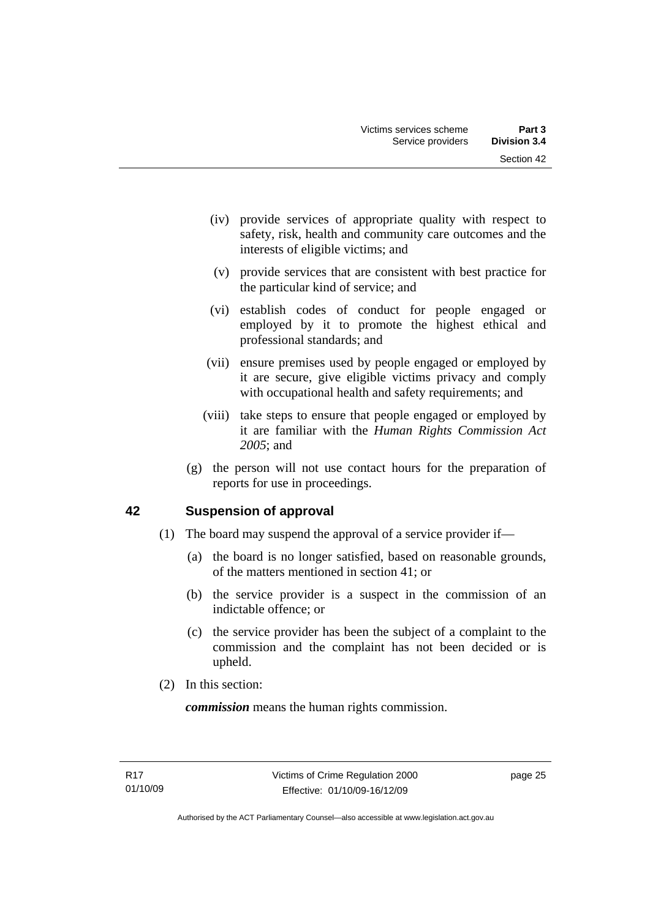- <span id="page-30-0"></span> (iv) provide services of appropriate quality with respect to safety, risk, health and community care outcomes and the interests of eligible victims; and
- (v) provide services that are consistent with best practice for the particular kind of service; and
- (vi) establish codes of conduct for people engaged or employed by it to promote the highest ethical and professional standards; and
- (vii) ensure premises used by people engaged or employed by it are secure, give eligible victims privacy and comply with occupational health and safety requirements; and
- (viii) take steps to ensure that people engaged or employed by it are familiar with the *Human Rights Commission Act 2005*; and
- (g) the person will not use contact hours for the preparation of reports for use in proceedings.

# **42 Suspension of approval**

- (1) The board may suspend the approval of a service provider if—
	- (a) the board is no longer satisfied, based on reasonable grounds, of the matters mentioned in section 41; or
	- (b) the service provider is a suspect in the commission of an indictable offence; or
	- (c) the service provider has been the subject of a complaint to the commission and the complaint has not been decided or is upheld.
- (2) In this section:

*commission* means the human rights commission.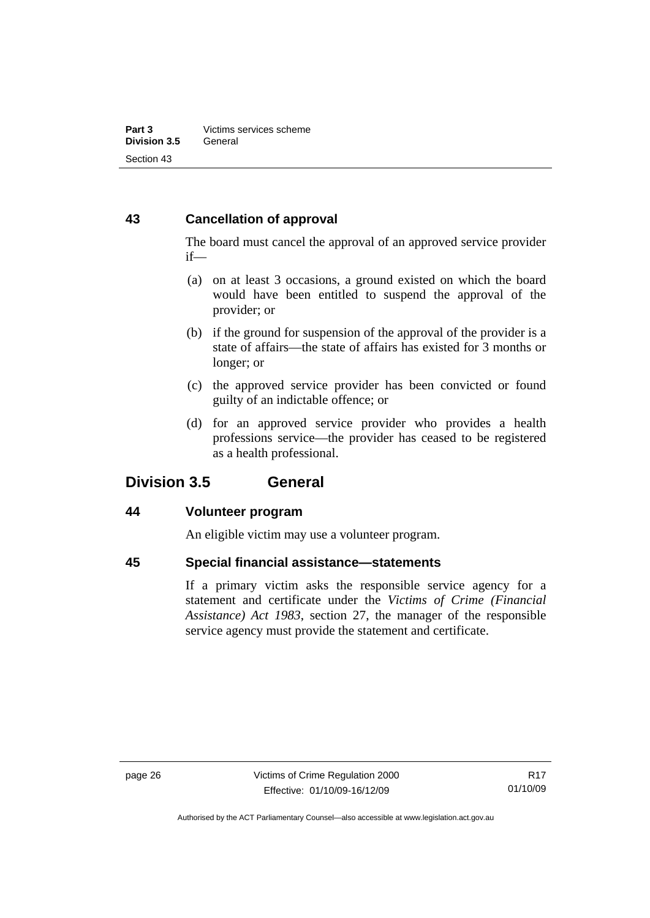# <span id="page-31-0"></span>**43 Cancellation of approval**

The board must cancel the approval of an approved service provider if—

- (a) on at least 3 occasions, a ground existed on which the board would have been entitled to suspend the approval of the provider; or
- (b) if the ground for suspension of the approval of the provider is a state of affairs—the state of affairs has existed for 3 months or longer; or
- (c) the approved service provider has been convicted or found guilty of an indictable offence; or
- (d) for an approved service provider who provides a health professions service—the provider has ceased to be registered as a health professional.

# **Division 3.5 General**

# **44 Volunteer program**

An eligible victim may use a volunteer program.

# **45 Special financial assistance—statements**

If a primary victim asks the responsible service agency for a statement and certificate under the *Victims of Crime (Financial Assistance) Act 1983*, section 27, the manager of the responsible service agency must provide the statement and certificate.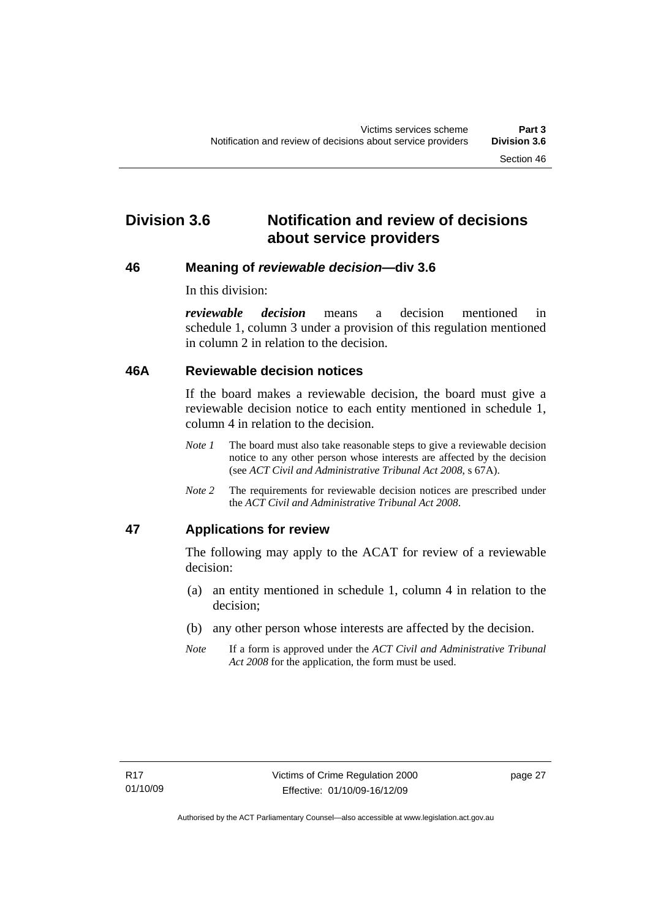# <span id="page-32-0"></span>**Division 3.6 Notification and review of decisions about service providers**

## **46 Meaning of** *reviewable decision—***div 3.6**

In this division:

*reviewable decision* means a decision mentioned in schedule 1, column 3 under a provision of this regulation mentioned in column 2 in relation to the decision.

## **46A Reviewable decision notices**

If the board makes a reviewable decision, the board must give a reviewable decision notice to each entity mentioned in schedule 1, column 4 in relation to the decision.

- *Note 1* The board must also take reasonable steps to give a reviewable decision notice to any other person whose interests are affected by the decision (see *ACT Civil and Administrative Tribunal Act 2008*, s 67A).
- *Note 2* The requirements for reviewable decision notices are prescribed under the *ACT Civil and Administrative Tribunal Act 2008*.

# **47 Applications for review**

The following may apply to the ACAT for review of a reviewable decision:

- (a) an entity mentioned in schedule 1, column 4 in relation to the decision;
- (b) any other person whose interests are affected by the decision.
- *Note* If a form is approved under the *ACT Civil and Administrative Tribunal Act 2008* for the application, the form must be used.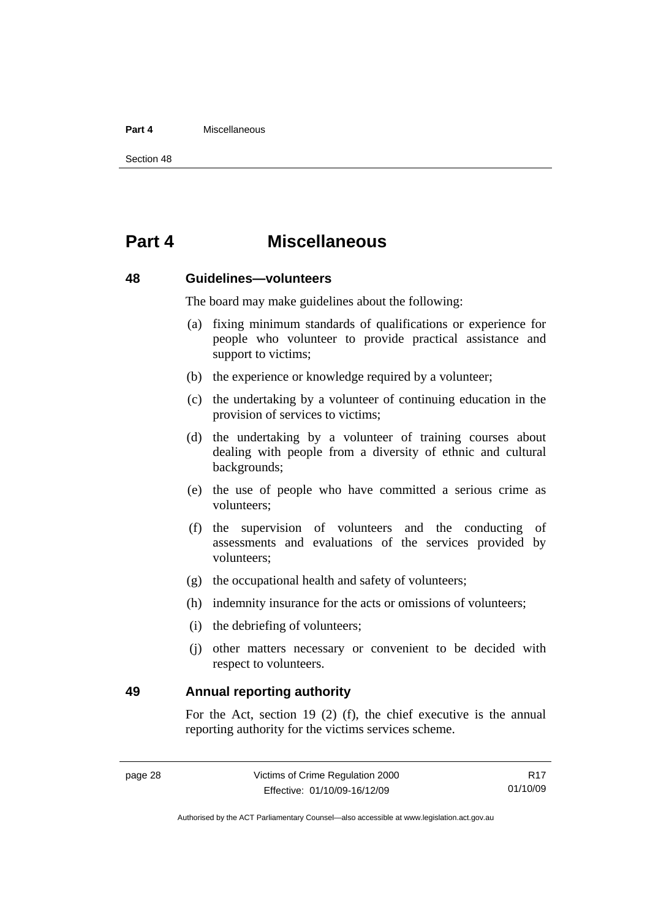### <span id="page-33-0"></span>**Part 4** Miscellaneous

Section 48

# **Part 4 Miscellaneous**

## **48 Guidelines—volunteers**

The board may make guidelines about the following:

- (a) fixing minimum standards of qualifications or experience for people who volunteer to provide practical assistance and support to victims;
- (b) the experience or knowledge required by a volunteer;
- (c) the undertaking by a volunteer of continuing education in the provision of services to victims;
- (d) the undertaking by a volunteer of training courses about dealing with people from a diversity of ethnic and cultural backgrounds;
- (e) the use of people who have committed a serious crime as volunteers;
- (f) the supervision of volunteers and the conducting of assessments and evaluations of the services provided by volunteers;
- (g) the occupational health and safety of volunteers;
- (h) indemnity insurance for the acts or omissions of volunteers;
- (i) the debriefing of volunteers;
- (j) other matters necessary or convenient to be decided with respect to volunteers.

**49 Annual reporting authority** 

For the Act, section 19 (2) (f), the chief executive is the annual reporting authority for the victims services scheme.

R17 01/10/09

Authorised by the ACT Parliamentary Counsel—also accessible at www.legislation.act.gov.au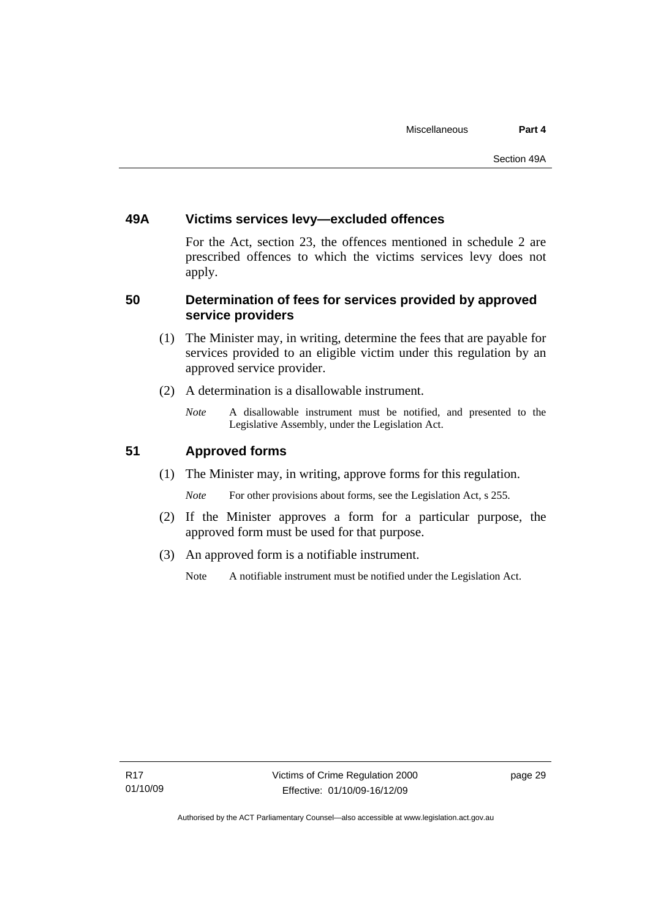# <span id="page-34-0"></span>**49A Victims services levy—excluded offences**

For the Act, section 23, the offences mentioned in schedule 2 are prescribed offences to which the victims services levy does not apply.

# **50 Determination of fees for services provided by approved service providers**

- (1) The Minister may, in writing, determine the fees that are payable for services provided to an eligible victim under this regulation by an approved service provider.
- (2) A determination is a disallowable instrument.
	- *Note* A disallowable instrument must be notified, and presented to the Legislative Assembly, under the Legislation Act.

# **51 Approved forms**

(1) The Minister may, in writing, approve forms for this regulation.

*Note* For other provisions about forms, see the Legislation Act, s 255.

- (2) If the Minister approves a form for a particular purpose, the approved form must be used for that purpose.
- (3) An approved form is a notifiable instrument.
	- Note A notifiable instrument must be notified under the Legislation Act.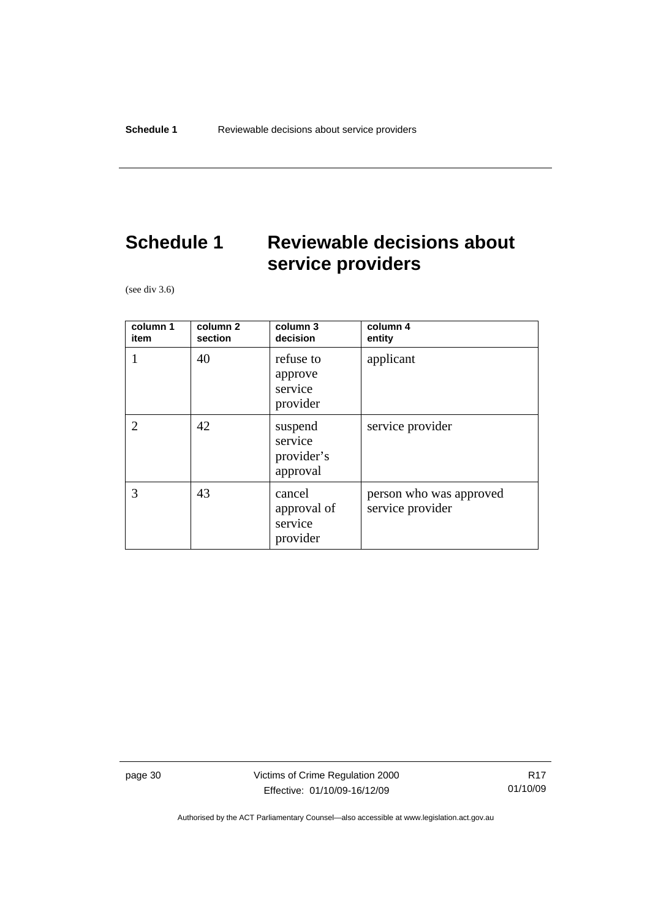# <span id="page-35-0"></span>**Schedule 1 Reviewable decisions about service providers**

(see div 3.6)

| column 1<br>item | column 2<br>section | column 3<br>decision                         | column 4<br>entity                          |
|------------------|---------------------|----------------------------------------------|---------------------------------------------|
|                  | 40                  | refuse to<br>approve<br>service<br>provider  | applicant                                   |
| $\overline{2}$   | 42                  | suspend<br>service<br>provider's<br>approval | service provider                            |
| 3                | 43                  | cancel<br>approval of<br>service<br>provider | person who was approved<br>service provider |

page 30 Victims of Crime Regulation 2000 Effective: 01/10/09-16/12/09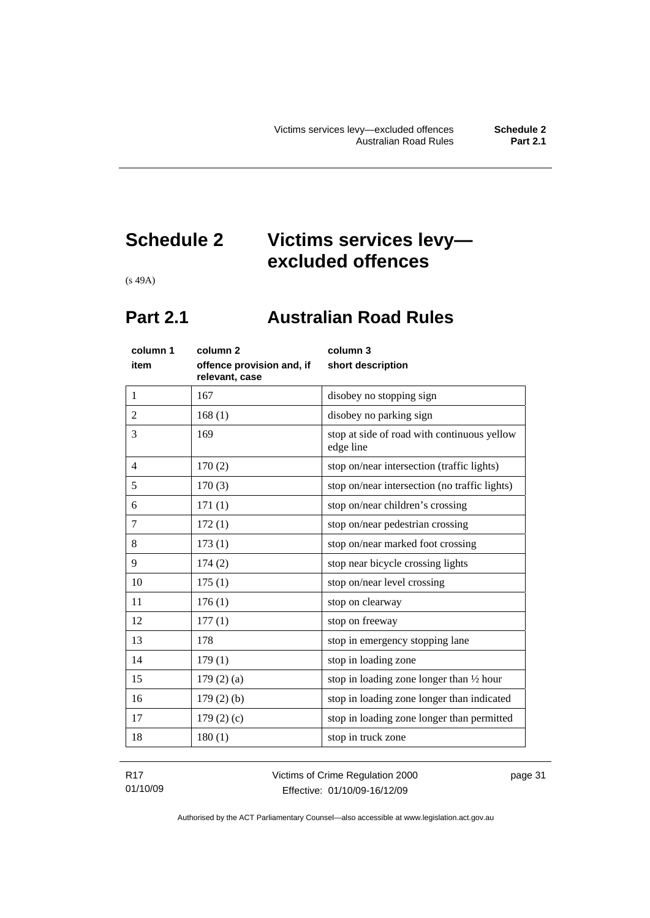# <span id="page-36-0"></span>**Schedule 2 Victims services levy excluded offences**

(s 49A)

# **Part 2.1 Australian Road Rules**

| column 1       | column 2                                    | column 3                                                 |
|----------------|---------------------------------------------|----------------------------------------------------------|
| item           | offence provision and, if<br>relevant, case | short description                                        |
| 1              | 167                                         | disobey no stopping sign                                 |
| $\overline{2}$ | 168(1)                                      | disobey no parking sign                                  |
| 3              | 169                                         | stop at side of road with continuous yellow<br>edge line |
| $\overline{4}$ | 170(2)                                      | stop on/near intersection (traffic lights)               |
| 5              | 170(3)                                      | stop on/near intersection (no traffic lights)            |
| 6              | 171(1)                                      | stop on/near children's crossing                         |
| 7              | 172(1)                                      | stop on/near pedestrian crossing                         |
| 8              | 173(1)                                      | stop on/near marked foot crossing                        |
| 9              | 174(2)                                      | stop near bicycle crossing lights                        |
| 10             | 175(1)                                      | stop on/near level crossing                              |
| 11             | 176(1)                                      | stop on clearway                                         |
| 12             | 177(1)                                      | stop on freeway                                          |
| 13             | 178                                         | stop in emergency stopping lane                          |
| 14             | 179(1)                                      | stop in loading zone                                     |
| 15             | $179(2)$ (a)                                | stop in loading zone longer than $\frac{1}{2}$ hour      |
| 16             | $179(2)$ (b)                                | stop in loading zone longer than indicated               |
| 17             | 179 $(2)(c)$                                | stop in loading zone longer than permitted               |
| 18             | 180(1)                                      | stop in truck zone                                       |
|                |                                             |                                                          |

R17 01/10/09 Victims of Crime Regulation 2000 Effective: 01/10/09-16/12/09

page 31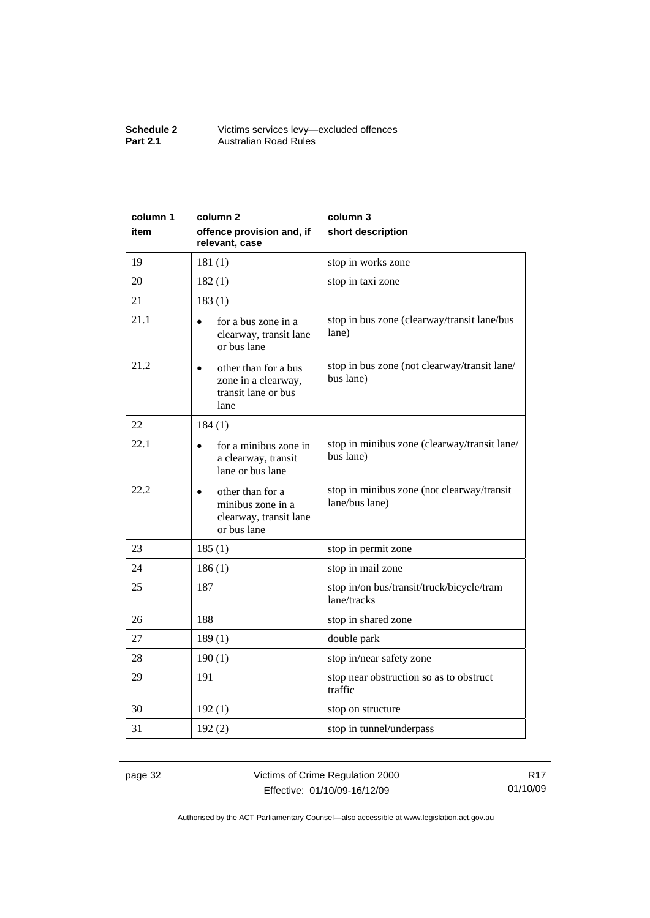#### **Schedule 2** Victims services levy—excluded offences **Part 2.1 Australian Road Rules**

| column 1 | column 2                                                                       | column 3                                                     |
|----------|--------------------------------------------------------------------------------|--------------------------------------------------------------|
| item     | offence provision and, if<br>relevant, case                                    | short description                                            |
| 19       | 181(1)                                                                         | stop in works zone                                           |
| 20       | 182(1)                                                                         | stop in taxi zone                                            |
| 21       | 183(1)                                                                         |                                                              |
| 21.1     | for a bus zone in a<br>$\bullet$<br>clearway, transit lane<br>or bus lane      | stop in bus zone (clearway/transit lane/bus<br>lane)         |
| 21.2     | other than for a bus<br>zone in a clearway,<br>transit lane or bus<br>lane     | stop in bus zone (not clearway/transit lane/<br>bus lane)    |
| 22       | 184(1)                                                                         |                                                              |
| 22.1     | for a minibus zone in<br>a clearway, transit<br>lane or bus lane               | stop in minibus zone (clearway/transit lane/<br>bus lane)    |
| 22.2     | other than for a<br>minibus zone in a<br>clearway, transit lane<br>or bus lane | stop in minibus zone (not clearway/transit<br>lane/bus lane) |
| 23       | 185(1)                                                                         | stop in permit zone                                          |
| 24       | 186(1)                                                                         | stop in mail zone                                            |
| 25       | 187                                                                            | stop in/on bus/transit/truck/bicycle/tram<br>lane/tracks     |
| 26       | 188                                                                            | stop in shared zone                                          |
| 27       | 189(1)                                                                         | double park                                                  |
| 28       | 190(1)                                                                         | stop in/near safety zone                                     |
| 29       | 191                                                                            | stop near obstruction so as to obstruct<br>traffic           |
| 30       | 192(1)                                                                         | stop on structure                                            |
| 31       | 192(2)                                                                         | stop in tunnel/underpass                                     |

page 32 Victims of Crime Regulation 2000 Effective: 01/10/09-16/12/09

R17 01/10/09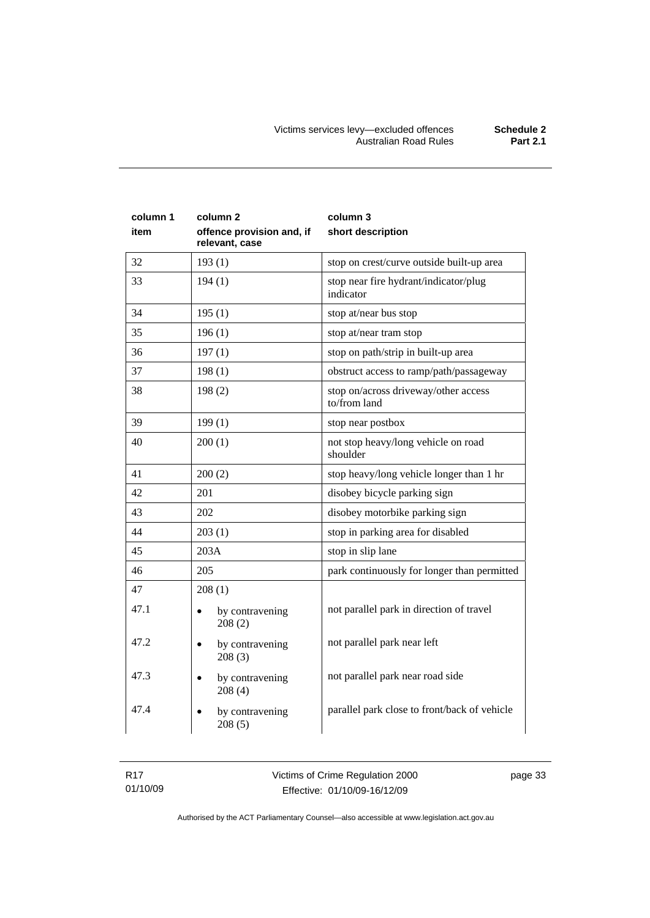| column 1<br>item | column <sub>2</sub><br>offence provision and, if<br>relevant, case | column 3<br>short description                        |  |
|------------------|--------------------------------------------------------------------|------------------------------------------------------|--|
| 32               | 193(1)                                                             | stop on crest/curve outside built-up area            |  |
| 33               | 194(1)                                                             | stop near fire hydrant/indicator/plug<br>indicator   |  |
| 34               | 195(1)                                                             | stop at/near bus stop                                |  |
| 35               | 196(1)                                                             | stop at/near tram stop                               |  |
| 36               | 197(1)                                                             | stop on path/strip in built-up area                  |  |
| 37               | 198(1)                                                             | obstruct access to ramp/path/passageway              |  |
| 38               | 198(2)                                                             | stop on/across driveway/other access<br>to/from land |  |
| 39               | 199(1)                                                             | stop near postbox                                    |  |
| 40               | 200(1)                                                             | not stop heavy/long vehicle on road<br>shoulder      |  |
| 41               | 200(2)                                                             | stop heavy/long vehicle longer than 1 hr             |  |
| 42               | 201                                                                | disobey bicycle parking sign                         |  |
| 43               | 202                                                                | disobey motorbike parking sign                       |  |
| 44               | 203(1)                                                             | stop in parking area for disabled                    |  |
| 45               | 203A                                                               | stop in slip lane                                    |  |
| 46               | 205                                                                | park continuously for longer than permitted          |  |
| 47               | 208(1)                                                             |                                                      |  |
| 47.1             | by contravening<br>$\bullet$<br>208(2)                             | not parallel park in direction of travel             |  |
| 47.2             | by contravening<br>$\bullet$<br>208(3)                             | not parallel park near left                          |  |
| 47.3             | by contravening<br>208(4)                                          | not parallel park near road side                     |  |
| 47.4             | by contravening<br>$\bullet$<br>208(5)                             | parallel park close to front/back of vehicle         |  |

page 33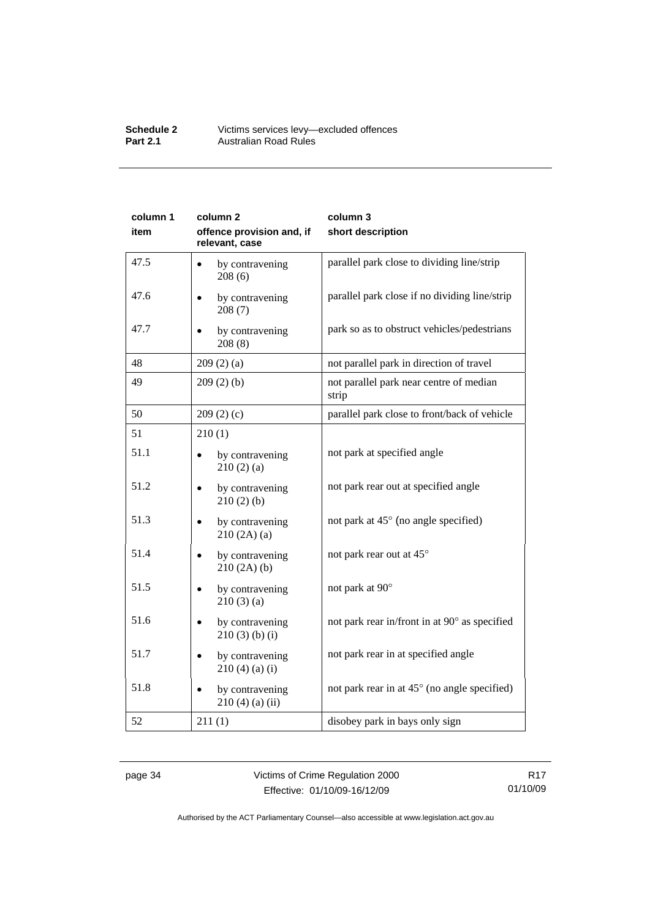#### **Schedule 2** Victims services levy—excluded offences **Part 2.1 Australian Road Rules**

| column 1 | column 2                                    | column 3                                         |
|----------|---------------------------------------------|--------------------------------------------------|
| item     | offence provision and, if<br>relevant, case | short description                                |
| 47.5     | by contravening<br>208(6)                   | parallel park close to dividing line/strip       |
| 47.6     | by contravening<br>208(7)                   | parallel park close if no dividing line/strip    |
| 47.7     | by contravening<br>208(8)                   | park so as to obstruct vehicles/pedestrians      |
| 48       | 209(2)(a)                                   | not parallel park in direction of travel         |
| 49       | 209(2)(b)                                   | not parallel park near centre of median<br>strip |
| 50       | 209(2)(c)                                   | parallel park close to front/back of vehicle     |
| 51       | 210(1)                                      |                                                  |
| 51.1     | by contravening<br>210(2)(a)                | not park at specified angle                      |
| 51.2     | by contravening<br>210(2)(b)                | not park rear out at specified angle             |
| 51.3     | by contravening<br>210(2A)(a)               | not park at 45° (no angle specified)             |
| 51.4     | by contravening<br>210(2A)(b)               | not park rear out at 45°                         |
| 51.5     | by contravening<br>210(3)(a)                | not park at 90°                                  |
| 51.6     | by contravening<br>$210(3)$ (b) (i)         | not park rear in/front in at 90° as specified    |
| 51.7     | by contravening<br>$210(4)$ (a) (i)         | not park rear in at specified angle              |
| 51.8     | by contravening<br>$210(4)$ (a) (ii)        | not park rear in at 45° (no angle specified)     |
| 52       | 211(1)                                      | disobey park in bays only sign                   |

page 34 Victims of Crime Regulation 2000 Effective: 01/10/09-16/12/09

R17 01/10/09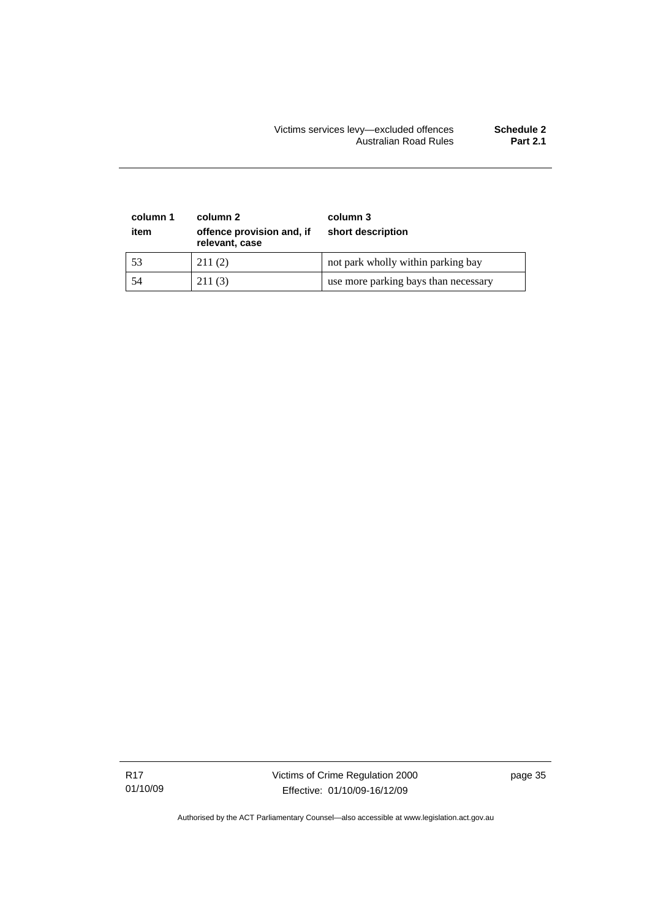### Victims services levy—excluded offences **Schedule 2**  Australian Road Rules **Part 2.1**

| column 1<br>item | column 2<br>offence provision and, if<br>relevant, case | column 3<br>short description        |
|------------------|---------------------------------------------------------|--------------------------------------|
| 53               | 211(2)                                                  | not park wholly within parking bay   |
| 54               | 211(3)                                                  | use more parking bays than necessary |

R17 01/10/09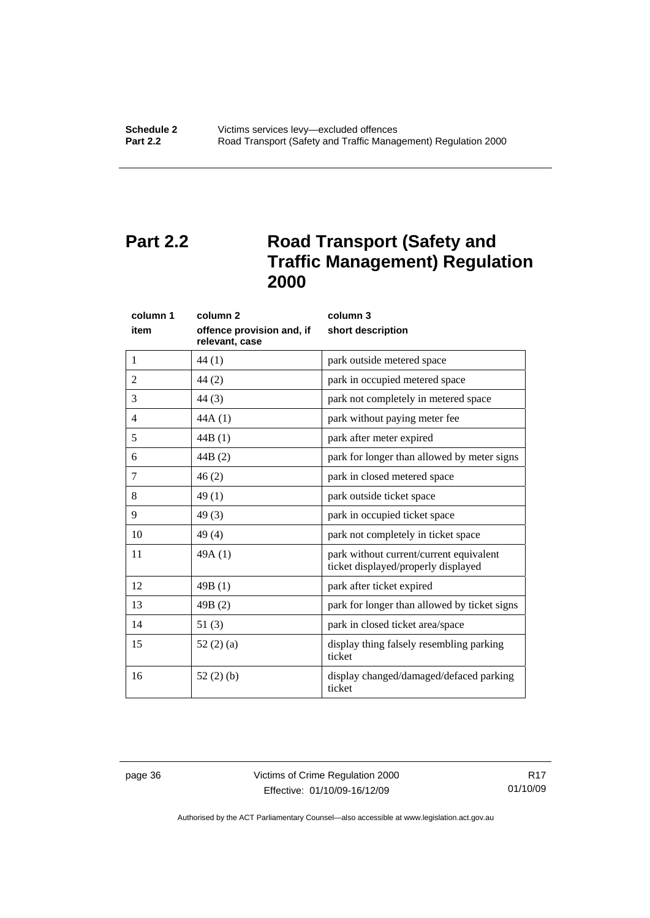# <span id="page-41-0"></span>**Part 2.2** Road Transport (Safety and **Traffic Management) Regulation 2000**

| column 1       | column <sub>2</sub>                         | column 3                                                                       |
|----------------|---------------------------------------------|--------------------------------------------------------------------------------|
| item           | offence provision and, if<br>relevant, case | short description                                                              |
| 1              | 44(1)                                       | park outside metered space                                                     |
| $\overline{2}$ | 44(2)                                       | park in occupied metered space                                                 |
| 3              | 44(3)                                       | park not completely in metered space                                           |
| 4              | 44A(1)                                      | park without paying meter fee                                                  |
| 5              | 44B(1)                                      | park after meter expired                                                       |
| 6              | 44B(2)                                      | park for longer than allowed by meter signs                                    |
| 7              | 46(2)                                       | park in closed metered space                                                   |
| 8              | 49(1)                                       | park outside ticket space                                                      |
| 9              | 49(3)                                       | park in occupied ticket space                                                  |
| 10             | 49(4)                                       | park not completely in ticket space                                            |
| 11             | 49A(1)                                      | park without current/current equivalent<br>ticket displayed/properly displayed |
| 12             | 49B(1)                                      | park after ticket expired                                                      |
| 13             | 49B(2)                                      | park for longer than allowed by ticket signs                                   |
| 14             | 51(3)                                       | park in closed ticket area/space                                               |
| 15             | 52(2)(a)                                    | display thing falsely resembling parking<br>ticket                             |
| 16             | 52(2)(b)                                    | display changed/damaged/defaced parking<br>ticket                              |

page 36 Victims of Crime Regulation 2000 Effective: 01/10/09-16/12/09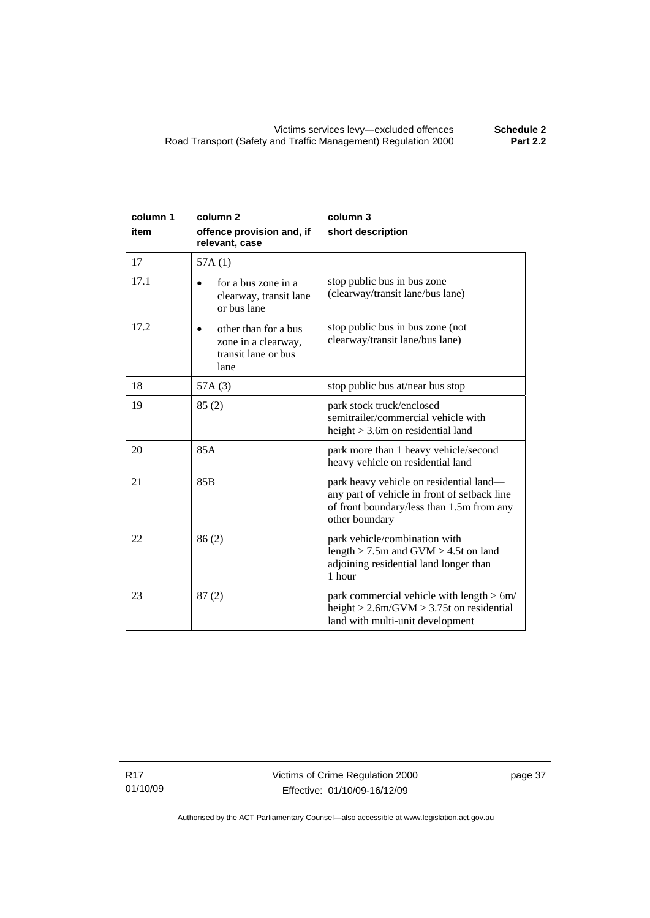| column 1<br>item | column <sub>2</sub><br>offence provision and, if<br>relevant, case         | column 3<br>short description                                                                                                                          |
|------------------|----------------------------------------------------------------------------|--------------------------------------------------------------------------------------------------------------------------------------------------------|
| 17               | 57A(1)                                                                     |                                                                                                                                                        |
| 17.1             | for a bus zone in a<br>clearway, transit lane<br>or bus lane               | stop public bus in bus zone<br>(clearway/transit lane/bus lane)                                                                                        |
| 17.2             | other than for a bus<br>zone in a clearway,<br>transit lane or bus<br>lane | stop public bus in bus zone (not<br>clearway/transit lane/bus lane)                                                                                    |
| 18               | 57A(3)                                                                     | stop public bus at/near bus stop                                                                                                                       |
| 19               | 85(2)                                                                      | park stock truck/enclosed<br>semitrailer/commercial vehicle with<br>height $>$ 3.6m on residential land                                                |
| 20               | 85A                                                                        | park more than 1 heavy vehicle/second<br>heavy vehicle on residential land                                                                             |
| 21               | 85B                                                                        | park heavy vehicle on residential land—<br>any part of vehicle in front of setback line<br>of front boundary/less than 1.5m from any<br>other boundary |
| 22               | 86(2)                                                                      | park vehicle/combination with<br>length $>$ 7.5m and GVM $>$ 4.5t on land<br>adjoining residential land longer than<br>1 hour                          |
| 23               | 87(2)                                                                      | park commercial vehicle with length > 6m/<br>height $> 2.6$ m/GVM $> 3.75$ t on residential<br>land with multi-unit development                        |

R17 01/10/09 page 37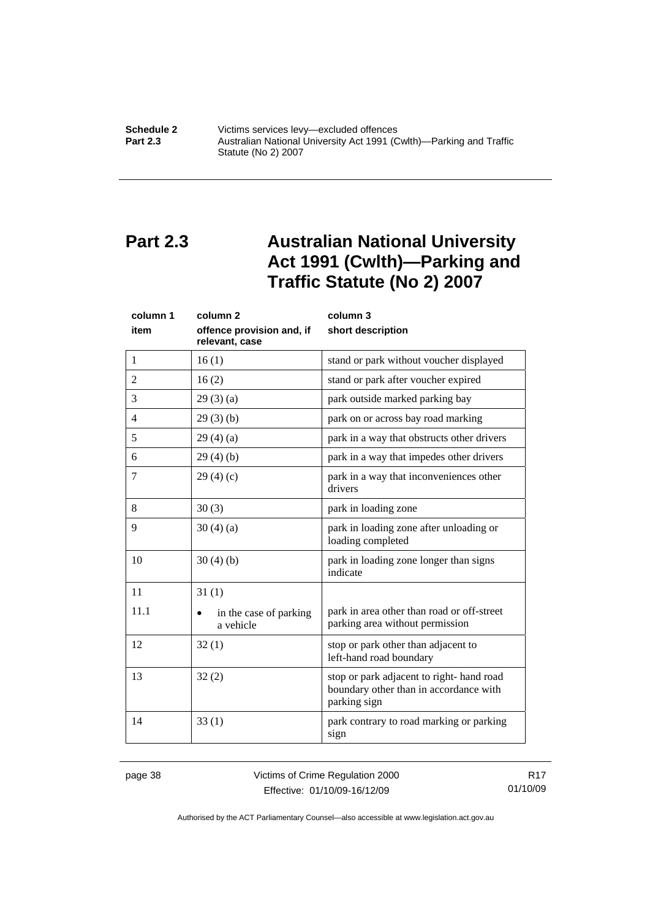<span id="page-43-0"></span>**Schedule 2 Victims services levy—excluded offences**<br>**Part 2.3 Australian National University Act 1991 (C Part 2.3** Australian National University Act 1991 (Cwlth)—Parking and Traffic Statute (No 2) 2007

# **Part 2.3 Australian National University Act 1991 (Cwlth)—Parking and Traffic Statute (No 2) 2007**

| column 1 | column <sub>2</sub>                         | column 3                                                                                           |
|----------|---------------------------------------------|----------------------------------------------------------------------------------------------------|
| item     | offence provision and, if<br>relevant, case | short description                                                                                  |
| 1        | 16(1)                                       | stand or park without voucher displayed                                                            |
| 2        | 16(2)                                       | stand or park after voucher expired                                                                |
| 3        | 29(3)(a)                                    | park outside marked parking bay                                                                    |
| 4        | 29(3)(b)                                    | park on or across bay road marking                                                                 |
| 5        | 29(4)(a)                                    | park in a way that obstructs other drivers                                                         |
| 6        | 29(4)(b)                                    | park in a way that impedes other drivers                                                           |
| 7        | 29(4)(c)                                    | park in a way that inconveniences other<br>drivers                                                 |
| 8        | 30(3)                                       | park in loading zone                                                                               |
| 9        | 30(4)(a)                                    | park in loading zone after unloading or<br>loading completed                                       |
| 10       | 30(4)(b)                                    | park in loading zone longer than signs<br>indicate                                                 |
| 11       | 31(1)                                       |                                                                                                    |
| 11.1     | in the case of parking<br>a vehicle         | park in area other than road or off-street<br>parking area without permission                      |
| 12       | 32(1)                                       | stop or park other than adjacent to<br>left-hand road boundary                                     |
| 13       | 32(2)                                       | stop or park adjacent to right-hand road<br>boundary other than in accordance with<br>parking sign |
| 14       | 33(1)                                       | park contrary to road marking or parking<br>sign                                                   |

page 38 Victims of Crime Regulation 2000 Effective: 01/10/09-16/12/09

R17 01/10/09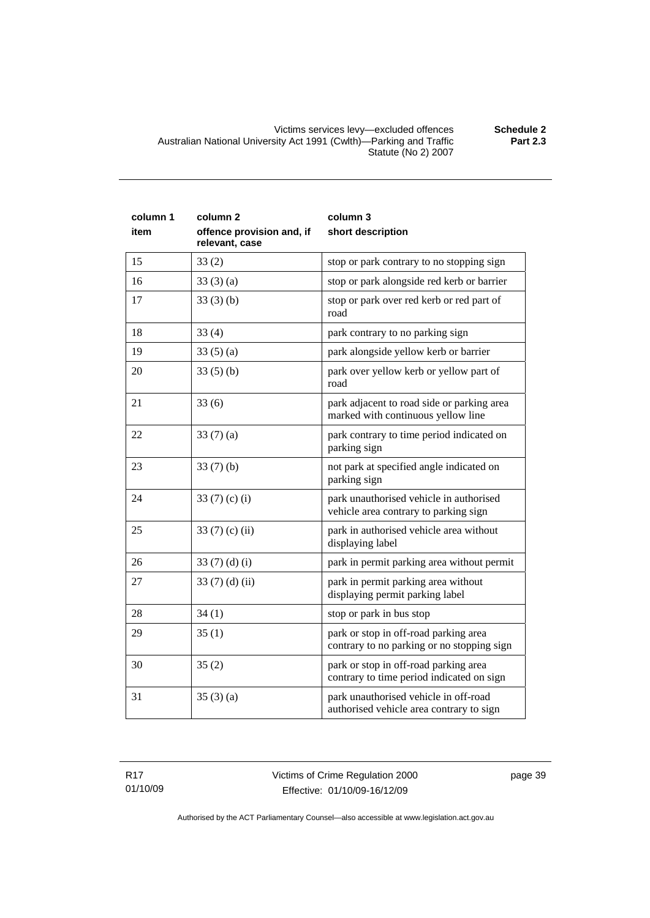Victims services levy—excluded offences **Schedule 2**  Australian National University Act 1991 (Cwlth)—Parking and Traffic Statute (No 2) 2007

| column 1<br>item | column <sub>2</sub><br>offence provision and, if<br>relevant, case | column 3<br>short description                                                       |
|------------------|--------------------------------------------------------------------|-------------------------------------------------------------------------------------|
| 15               | 33(2)                                                              | stop or park contrary to no stopping sign                                           |
| 16               | 33(3)(a)                                                           | stop or park alongside red kerb or barrier                                          |
| 17               | 33(3)(b)                                                           | stop or park over red kerb or red part of<br>road                                   |
| 18               | 33(4)                                                              | park contrary to no parking sign                                                    |
| 19               | 33(5)(a)                                                           | park alongside yellow kerb or barrier                                               |
| 20               | 33(5)(b)                                                           | park over yellow kerb or yellow part of<br>road                                     |
| 21               | 33(6)                                                              | park adjacent to road side or parking area<br>marked with continuous yellow line    |
| 22               | 33 $(7)(a)$                                                        | park contrary to time period indicated on<br>parking sign                           |
| 23               | 33(7)(b)                                                           | not park at specified angle indicated on<br>parking sign                            |
| 24               | 33 $(7)$ $(c)$ $(i)$                                               | park unauthorised vehicle in authorised<br>vehicle area contrary to parking sign    |
| 25               | 33 $(7)$ $(c)$ $(ii)$                                              | park in authorised vehicle area without<br>displaying label                         |
| 26               | 33 $(7)(d)(i)$                                                     | park in permit parking area without permit                                          |
| 27               | 33 $(7)$ $(d)$ $(ii)$                                              | park in permit parking area without<br>displaying permit parking label              |
| 28               | 34(1)                                                              | stop or park in bus stop                                                            |
| 29               | 35(1)                                                              | park or stop in off-road parking area<br>contrary to no parking or no stopping sign |
| 30               | 35(2)                                                              | park or stop in off-road parking area<br>contrary to time period indicated on sign  |
| 31               | 35(3)(a)                                                           | park unauthorised vehicle in off-road<br>authorised vehicle area contrary to sign   |

R17 01/10/09 page 39

Authorised by the ACT Parliamentary Counsel—also accessible at www.legislation.act.gov.au

**Part 2.3**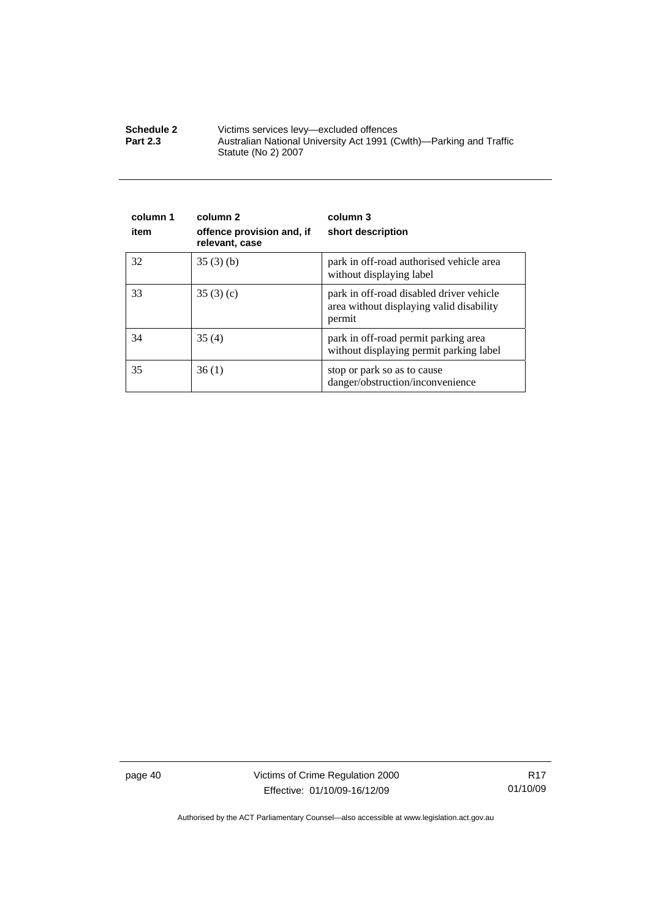| <b>Schedule 2</b> | Victims services levy—excluded offences                                                    |
|-------------------|--------------------------------------------------------------------------------------------|
| <b>Part 2.3</b>   | Australian National University Act 1991 (Cwlth)—Parking and Traffic<br>Statute (No 2) 2007 |

| column 1<br>item | column 2<br>offence provision and, if<br>relevant, case | column 3<br>short description                                                                  |
|------------------|---------------------------------------------------------|------------------------------------------------------------------------------------------------|
| 32               | 35(3)(b)                                                | park in off-road authorised vehicle area<br>without displaying label                           |
| 33               | 35(3)(c)                                                | park in off-road disabled driver vehicle<br>area without displaying valid disability<br>permit |
| 34               | 35(4)                                                   | park in off-road permit parking area<br>without displaying permit parking label                |
| 35               | 36(1)                                                   | stop or park so as to cause<br>danger/obstruction/inconvenience                                |

page 40 Victims of Crime Regulation 2000 Effective: 01/10/09-16/12/09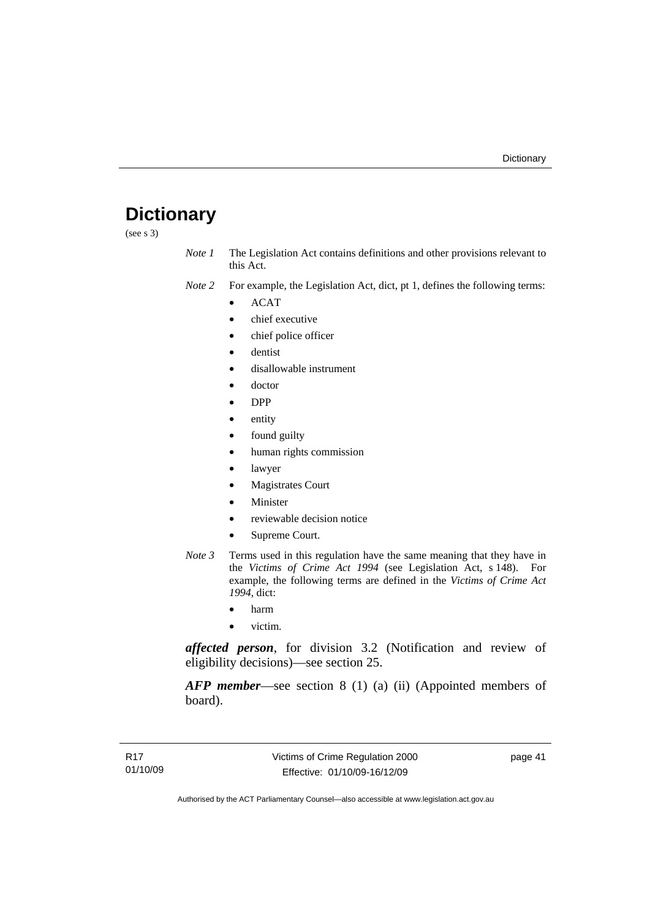# <span id="page-46-0"></span>**Dictionary**

(see s 3)

*Note 1* The Legislation Act contains definitions and other provisions relevant to this Act.

*Note 2* For example, the Legislation Act, dict, pt 1, defines the following terms:

- ACAT
- chief executive
- chief police officer
- dentist
- disallowable instrument
- doctor
- DPP
- entity
- found guilty
- human rights commission
- lawyer
- **Magistrates Court**
- **Minister**
- reviewable decision notice
- Supreme Court.
- *Note 3* Terms used in this regulation have the same meaning that they have in the *Victims of Crime Act 1994* (see Legislation Act, s 148). For example, the following terms are defined in the *Victims of Crime Act 1994*, dict:
	- harm
	- victim.

*affected person*, for division 3.2 (Notification and review of eligibility decisions)—see section 25.

*AFP member*—see section 8 (1) (a) (ii) (Appointed members of board).

page 41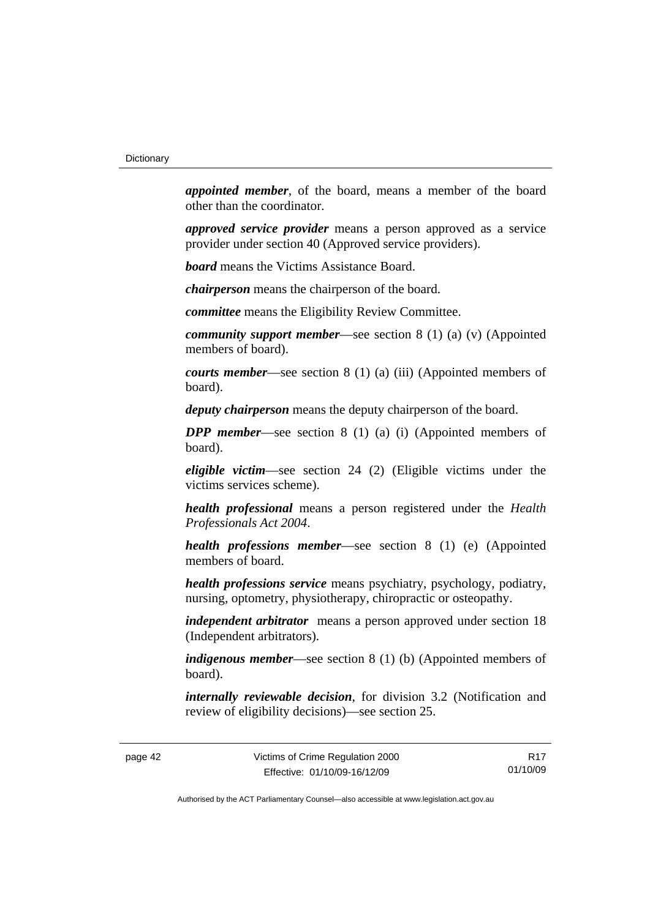*appointed member*, of the board, means a member of the board other than the coordinator.

*approved service provider* means a person approved as a service provider under section 40 (Approved service providers).

*board* means the Victims Assistance Board.

*chairperson* means the chairperson of the board.

*committee* means the Eligibility Review Committee.

*community support member*—see section 8 (1) (a) (v) (Appointed members of board).

*courts member*—see section 8 (1) (a) (iii) (Appointed members of board).

*deputy chairperson* means the deputy chairperson of the board.

*DPP member*—see section 8 (1) (a) (i) (Appointed members of board).

*eligible victim*—see section 24 (2) (Eligible victims under the victims services scheme).

*health professional* means a person registered under the *Health Professionals Act 2004*.

*health professions member*—see section 8 (1) (e) (Appointed members of board.

*health professions service* means psychiatry, psychology, podiatry, nursing, optometry, physiotherapy, chiropractic or osteopathy.

*independent arbitrator* means a person approved under section 18 (Independent arbitrators).

*indigenous member*—see section 8 (1) (b) (Appointed members of board).

*internally reviewable decision*, for division 3.2 (Notification and review of eligibility decisions)—see section 25.

R17 01/10/09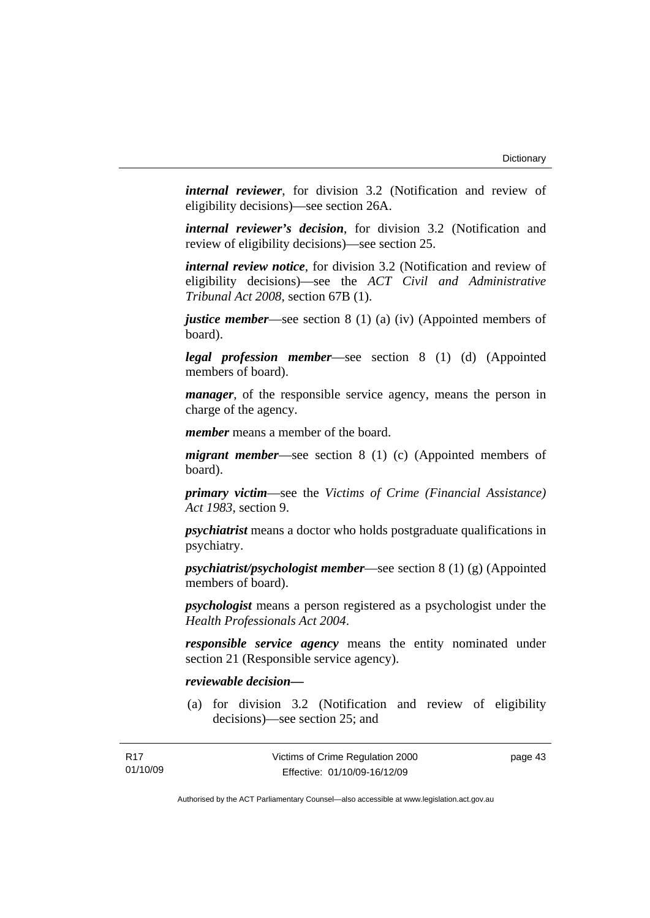*internal reviewer*, for division 3.2 (Notification and review of eligibility decisions)—see section 26A.

*internal reviewer's decision*, for division 3.2 (Notification and review of eligibility decisions)—see section 25.

*internal review notice*, for division 3.2 (Notification and review of eligibility decisions)—see the *ACT Civil and Administrative Tribunal Act 2008*, section 67B (1).

*justice member*—see section 8 (1) (a) (iv) (Appointed members of board).

*legal profession member*—see section 8 (1) (d) (Appointed members of board).

*manager*, of the responsible service agency, means the person in charge of the agency.

*member* means a member of the board.

*migrant member*—see section 8 (1) (c) (Appointed members of board).

*primary victim*—see the *Victims of Crime (Financial Assistance) Act 1983*, section 9.

*psychiatrist* means a doctor who holds postgraduate qualifications in psychiatry.

*psychiatrist/psychologist member*—see section 8 (1) (g) (Appointed members of board).

*psychologist* means a person registered as a psychologist under the *Health Professionals Act 2004*.

*responsible service agency* means the entity nominated under section 21 (Responsible service agency).

## *reviewable decision—*

 (a) for division 3.2 (Notification and review of eligibility decisions)—see section 25; and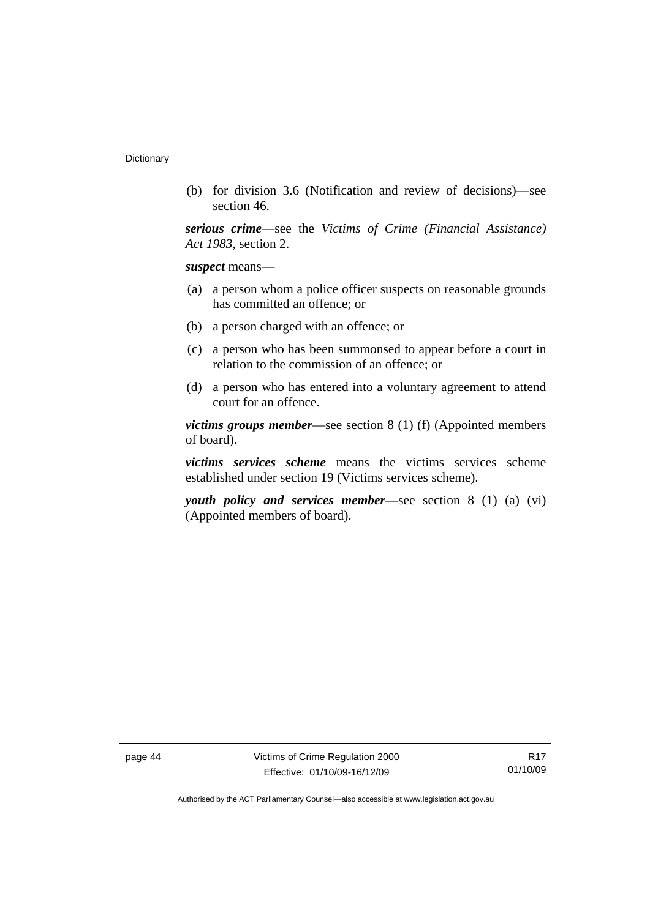(b) for division 3.6 (Notification and review of decisions)—see section 46.

*serious crime*—see the *Victims of Crime (Financial Assistance) Act 1983*, section 2.

*suspect* means—

- (a) a person whom a police officer suspects on reasonable grounds has committed an offence; or
- (b) a person charged with an offence; or
- (c) a person who has been summonsed to appear before a court in relation to the commission of an offence; or
- (d) a person who has entered into a voluntary agreement to attend court for an offence.

*victims groups member*—see section 8 (1) (f) (Appointed members of board).

*victims services scheme* means the victims services scheme established under section 19 (Victims services scheme).

*youth policy and services member*—see section 8 (1) (a) (vi) (Appointed members of board).

page 44 Victims of Crime Regulation 2000 Effective: 01/10/09-16/12/09

R17 01/10/09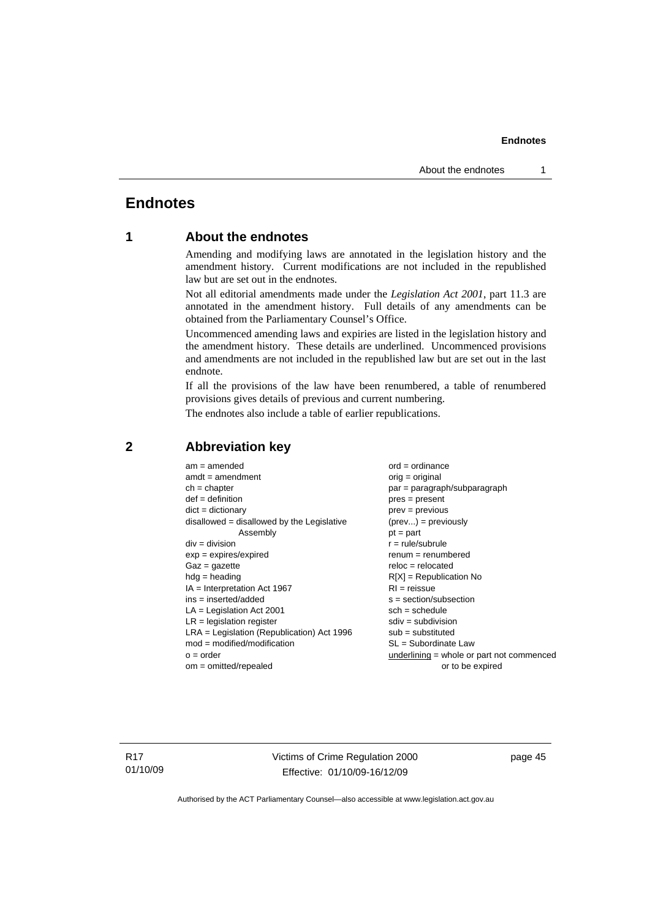# <span id="page-50-0"></span>**Endnotes**

# **1 About the endnotes**

Amending and modifying laws are annotated in the legislation history and the amendment history. Current modifications are not included in the republished law but are set out in the endnotes.

Not all editorial amendments made under the *Legislation Act 2001*, part 11.3 are annotated in the amendment history. Full details of any amendments can be obtained from the Parliamentary Counsel's Office.

Uncommenced amending laws and expiries are listed in the legislation history and the amendment history. These details are underlined. Uncommenced provisions and amendments are not included in the republished law but are set out in the last endnote.

If all the provisions of the law have been renumbered, a table of renumbered provisions gives details of previous and current numbering.

The endnotes also include a table of earlier republications.

| $am = amended$                               | $ord = ordinance$                         |
|----------------------------------------------|-------------------------------------------|
| $amdt = amendment$                           | $orig = original$                         |
| $ch = chapter$                               | $par = paragraph/subparagraph$            |
| $def = definition$                           | $pres = present$                          |
| $dict = dictionary$                          | $prev = previous$                         |
| disallowed = disallowed by the Legislative   | $(\text{prev}) = \text{previously}$       |
| Assembly                                     | $pt = part$                               |
| $div = division$                             | $r = rule/subrule$                        |
| $exp = expires/expired$                      | $remum = renumbered$                      |
| $Gaz = gazette$                              | $reloc = relocated$                       |
| $hdg =$ heading                              | $R[X]$ = Republication No                 |
| $IA = Interpretation Act 1967$               | $RI = reissue$                            |
| $ins = inserted/added$                       | $s = section/subsection$                  |
| $LA =$ Legislation Act 2001                  | $sch = schedule$                          |
| $LR =$ legislation register                  | $sdiv = subdivision$                      |
| $LRA =$ Legislation (Republication) Act 1996 | $sub =$ substituted                       |
| $mod = modified/modification$                | SL = Subordinate Law                      |
| $o = order$                                  | underlining = whole or part not commenced |
| $om = omitted/repealed$                      | or to be expired                          |
|                                              |                                           |

## **2 Abbreviation key**

R17 01/10/09 Victims of Crime Regulation 2000 Effective: 01/10/09-16/12/09

page 45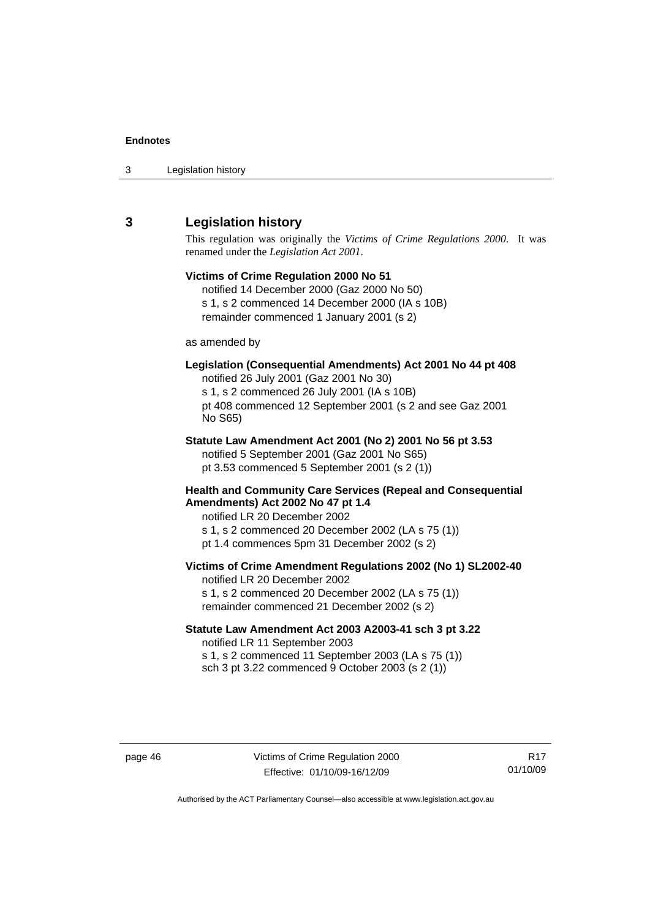<span id="page-51-0"></span>

| 3 | Legislation history |  |
|---|---------------------|--|
|---|---------------------|--|

# **3 Legislation history**

This regulation was originally the *Victims of Crime Regulations 2000*. It was renamed under the *Legislation Act 2001*.

# **Victims of Crime Regulation 2000 No 51**  notified 14 December 2000 (Gaz 2000 No 50) s 1, s 2 commenced 14 December 2000 (IA s 10B) remainder commenced 1 January 2001 (s 2) as amended by **Legislation (Consequential Amendments) Act 2001 No 44 pt 408**  notified 26 July 2001 (Gaz 2001 No 30) s 1, s 2 commenced 26 July 2001 (IA s 10B) pt 408 commenced 12 September 2001 (s 2 and see Gaz 2001 No S65) **Statute Law Amendment Act 2001 (No 2) 2001 No 56 pt 3.53**  notified 5 September 2001 (Gaz 2001 No S65) pt 3.53 commenced 5 September 2001 (s 2 (1)) **Health and Community Care Services (Repeal and Consequential Amendments) Act 2002 No 47 pt 1.4**  notified LR 20 December 2002 s 1, s 2 commenced 20 December 2002 (LA s 75 (1)) pt 1.4 commences 5pm 31 December 2002 (s 2) **Victims of Crime Amendment Regulations 2002 (No 1) SL2002-40**  notified LR 20 December 2002 s 1, s 2 commenced 20 December 2002 (LA s 75 (1)) remainder commenced 21 December 2002 (s 2) **Statute Law Amendment Act 2003 A2003-41 sch 3 pt 3.22**  notified LR 11 September 2003

s 1, s 2 commenced 11 September 2003 (LA s 75 (1)) sch 3 pt 3.22 commenced 9 October 2003 (s 2 (1))

R17 01/10/09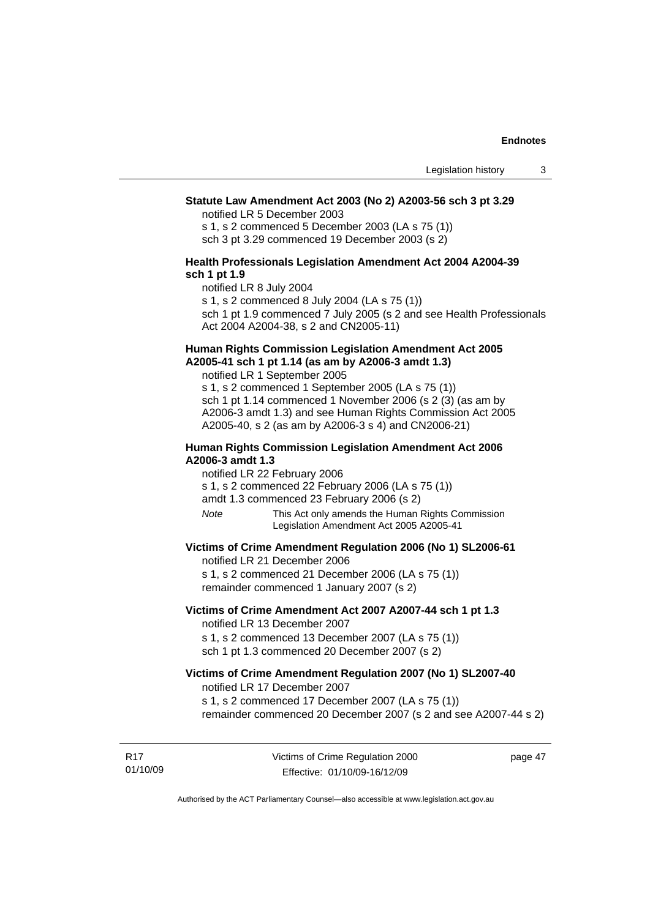## **Statute Law Amendment Act 2003 (No 2) A2003-56 sch 3 pt 3.29**

notified LR 5 December 2003

s 1, s 2 commenced 5 December 2003 (LA s 75 (1)) sch 3 pt 3.29 commenced 19 December 2003 (s 2)

## **Health Professionals Legislation Amendment Act 2004 A2004-39 sch 1 pt 1.9**

notified LR 8 July 2004

s 1, s 2 commenced 8 July 2004 (LA s 75 (1))

sch 1 pt 1.9 commenced 7 July 2005 (s 2 and see Health Professionals Act 2004 A2004-38, s 2 and CN2005-11)

## **Human Rights Commission Legislation Amendment Act 2005 A2005-41 sch 1 pt 1.14 (as am by A2006-3 amdt 1.3)**

notified LR 1 September 2005 s 1, s 2 commenced 1 September 2005 (LA s 75 (1)) sch 1 pt 1.14 commenced 1 November 2006 (s 2 (3) (as am by A2006-3 amdt 1.3) and see Human Rights Commission Act 2005

A2005-40, s 2 (as am by A2006-3 s 4) and CN2006-21)

## **Human Rights Commission Legislation Amendment Act 2006 A2006-3 amdt 1.3**

notified LR 22 February 2006

s 1, s 2 commenced 22 February 2006 (LA s 75 (1))

amdt 1.3 commenced 23 February 2006 (s 2)

*Note* This Act only amends the Human Rights Commission Legislation Amendment Act 2005 A2005-41

## **Victims of Crime Amendment Regulation 2006 (No 1) SL2006-61**

notified LR 21 December 2006

s 1, s 2 commenced 21 December 2006 (LA s 75 (1)) remainder commenced 1 January 2007 (s 2)

## **Victims of Crime Amendment Act 2007 A2007-44 sch 1 pt 1.3**  notified LR 13 December 2007

s 1, s 2 commenced 13 December 2007 (LA s 75 (1)) sch 1 pt 1.3 commenced 20 December 2007 (s 2)

#### **Victims of Crime Amendment Regulation 2007 (No 1) SL2007-40**  notified LR 17 December 2007

s 1, s 2 commenced 17 December 2007 (LA s 75 (1))

remainder commenced 20 December 2007 (s 2 and see A2007-44 s 2)

R17 01/10/09 page 47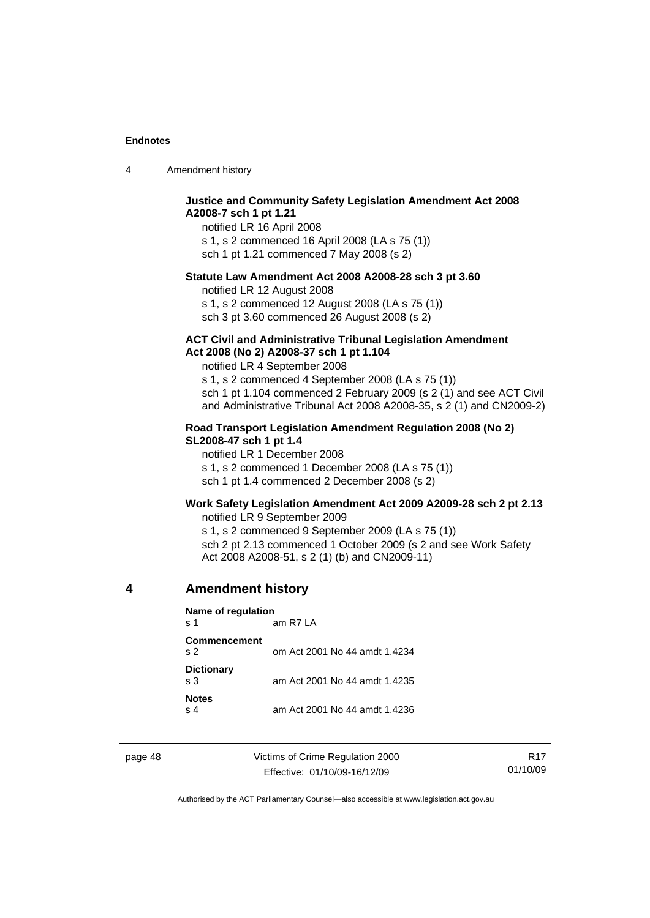<span id="page-53-0"></span>

|  | Amendment history |
|--|-------------------|
|--|-------------------|

## **Justice and Community Safety Legislation Amendment Act 2008 A2008-7 sch 1 pt 1.21**

notified LR 16 April 2008 s 1, s 2 commenced 16 April 2008 (LA s 75 (1)) sch 1 pt 1.21 commenced 7 May 2008 (s 2)

### **Statute Law Amendment Act 2008 A2008-28 sch 3 pt 3.60**

notified LR 12 August 2008 s 1, s 2 commenced 12 August 2008 (LA s 75 (1))

sch 3 pt 3.60 commenced 26 August 2008 (s 2)

#### **ACT Civil and Administrative Tribunal Legislation Amendment Act 2008 (No 2) A2008-37 sch 1 pt 1.104**

notified LR 4 September 2008

s 1, s 2 commenced 4 September 2008 (LA s 75 (1)) sch 1 pt 1.104 commenced 2 February 2009 (s 2 (1) and see ACT Civil and Administrative Tribunal Act 2008 A2008-35, s 2 (1) and CN2009-2)

## **Road Transport Legislation Amendment Regulation 2008 (No 2) SL2008-47 sch 1 pt 1.4**

notified LR 1 December 2008 s 1, s 2 commenced 1 December 2008 (LA s 75 (1)) sch 1 pt 1.4 commenced 2 December 2008 (s 2)

## **Work Safety Legislation Amendment Act 2009 A2009-28 sch 2 pt 2.13**

notified LR 9 September 2009

s 1, s 2 commenced 9 September 2009 (LA s 75 (1)) sch 2 pt 2.13 commenced 1 October 2009 (s 2 and see Work Safety Act 2008 A2008-51, s 2 (1) (b) and CN2009-11)

## **4 Amendment history**

**Name of regulation** 

s 1 am R7 LA **Commencement**  s 2 om Act 2001 No 44 amdt 1.4234

| <b>Dictionary</b><br>s 3 | am Act 2001 No 44 amdt 1.4235 |
|--------------------------|-------------------------------|
| <b>Notes</b><br>s 4      | am Act 2001 No 44 amdt 1.4236 |

page 48 Victims of Crime Regulation 2000 Effective: 01/10/09-16/12/09

R17 01/10/09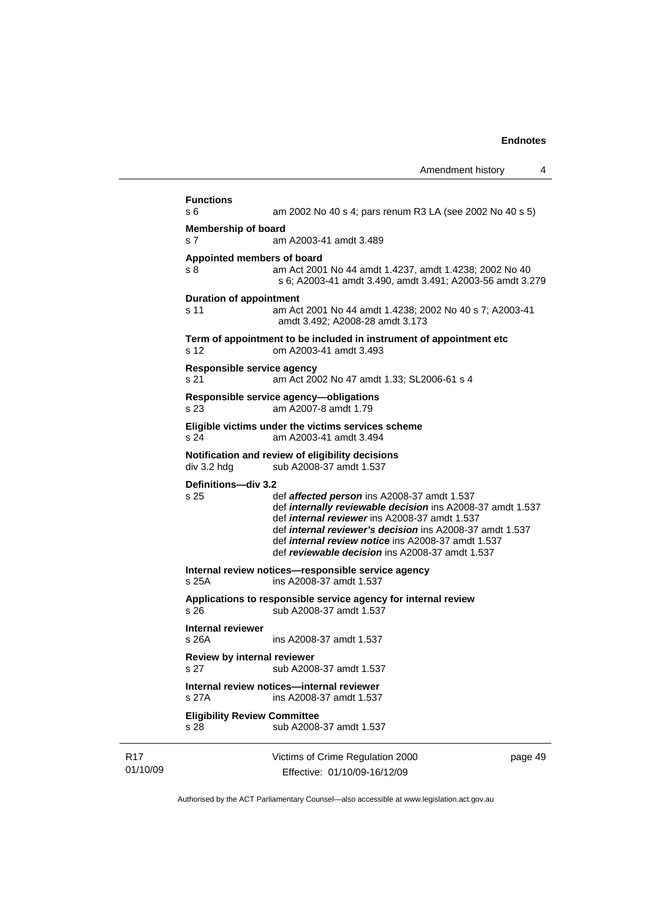|                                     | Amendment history                                                                                                                                                                                                                                                                                                                                           | 4       |
|-------------------------------------|-------------------------------------------------------------------------------------------------------------------------------------------------------------------------------------------------------------------------------------------------------------------------------------------------------------------------------------------------------------|---------|
| <b>Functions</b>                    |                                                                                                                                                                                                                                                                                                                                                             |         |
| s 6                                 | am 2002 No 40 s 4; pars renum R3 LA (see 2002 No 40 s 5)                                                                                                                                                                                                                                                                                                    |         |
| <b>Membership of board</b><br>s 7   | am A2003-41 amdt 3.489                                                                                                                                                                                                                                                                                                                                      |         |
| Appointed members of board          |                                                                                                                                                                                                                                                                                                                                                             |         |
| s 8                                 | am Act 2001 No 44 amdt 1.4237, amdt 1.4238; 2002 No 40<br>s 6; A2003-41 amdt 3.490, amdt 3.491; A2003-56 amdt 3.279                                                                                                                                                                                                                                         |         |
| <b>Duration of appointment</b>      |                                                                                                                                                                                                                                                                                                                                                             |         |
| s 11                                | am Act 2001 No 44 amdt 1.4238; 2002 No 40 s 7; A2003-41<br>amdt 3.492; A2008-28 amdt 3.173                                                                                                                                                                                                                                                                  |         |
| s 12                                | Term of appointment to be included in instrument of appointment etc<br>om A2003-41 amdt 3.493                                                                                                                                                                                                                                                               |         |
| Responsible service agency<br>s 21  | am Act 2002 No 47 amdt 1.33; SL2006-61 s 4                                                                                                                                                                                                                                                                                                                  |         |
| s 23                                | Responsible service agency-obligations<br>am A2007-8 amdt 1.79                                                                                                                                                                                                                                                                                              |         |
| s <sub>24</sub>                     | Eligible victims under the victims services scheme<br>am A2003-41 amdt 3.494                                                                                                                                                                                                                                                                                |         |
| div 3.2 hdg                         | Notification and review of eligibility decisions<br>sub A2008-37 amdt 1.537                                                                                                                                                                                                                                                                                 |         |
| Definitions-div 3.2                 |                                                                                                                                                                                                                                                                                                                                                             |         |
| s 25                                | def <b>affected person</b> ins A2008-37 amdt 1.537<br>def internally reviewable decision ins A2008-37 amdt 1.537<br>def <i>internal reviewer</i> ins A2008-37 amdt 1.537<br>def <i>internal reviewer's decision</i> ins A2008-37 amdt 1.537<br>def <i>internal review notice</i> ins A2008-37 amdt 1.537<br>def reviewable decision ins A2008-37 amdt 1.537 |         |
| s 25A                               | Internal review notices-responsible service agency<br>ins A2008-37 amdt 1.537                                                                                                                                                                                                                                                                               |         |
| s 26                                | Applications to responsible service agency for internal review<br>sub A2008-37 amdt 1.537                                                                                                                                                                                                                                                                   |         |
| Internal reviewer<br>s 26A          | ins A2008-37 amdt 1.537                                                                                                                                                                                                                                                                                                                                     |         |
| Review by internal reviewer<br>s 27 | sub A2008-37 amdt 1.537                                                                                                                                                                                                                                                                                                                                     |         |
|                                     | Internal review notices-internal reviewer                                                                                                                                                                                                                                                                                                                   |         |
| s 27A                               | ins A2008-37 amdt 1.537                                                                                                                                                                                                                                                                                                                                     |         |
| <b>Eligibility Review Committee</b> |                                                                                                                                                                                                                                                                                                                                                             |         |
| s 28                                | sub A2008-37 amdt 1.537                                                                                                                                                                                                                                                                                                                                     |         |
|                                     | Victims of Crime Regulation 2000                                                                                                                                                                                                                                                                                                                            | page 49 |

Authorised by the ACT Parliamentary Counsel—also accessible at www.legislation.act.gov.au

Effective: 01/10/09-16/12/09

R17 01/10/09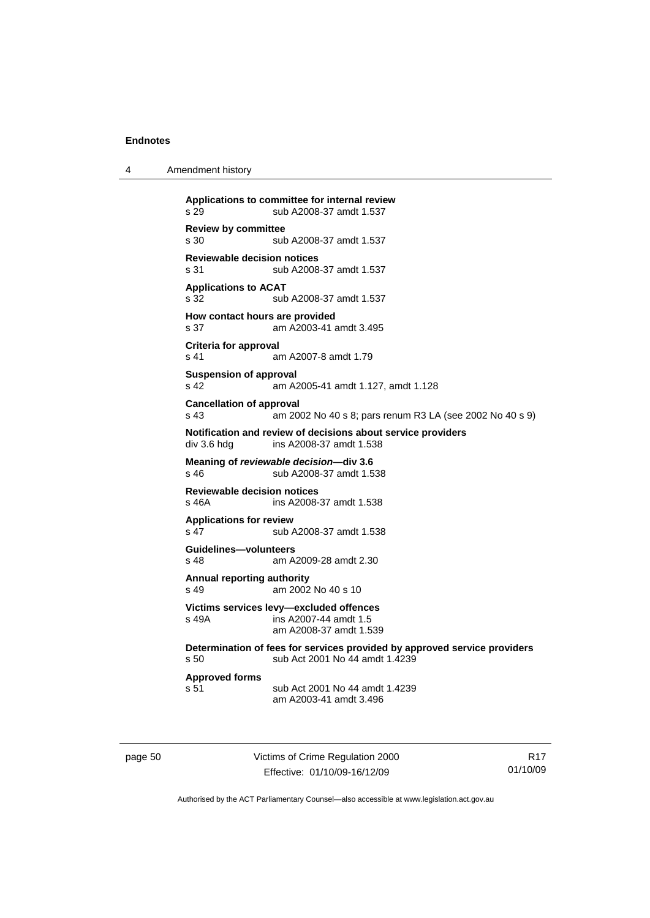| Amendment history<br>4 |  |
|------------------------|--|
|------------------------|--|

| s.29                                                  | Applications to committee for internal review<br>sub A2008-37 amdt 1.537                                    |
|-------------------------------------------------------|-------------------------------------------------------------------------------------------------------------|
| <b>Review by committee</b><br>s 30                    | sub A2008-37 amdt 1.537                                                                                     |
| <b>Reviewable decision notices</b><br>s <sub>31</sub> | sub A2008-37 amdt 1.537                                                                                     |
| <b>Applications to ACAT</b><br>s 32                   | sub A2008-37 amdt 1.537                                                                                     |
| How contact hours are provided<br>s 37                | am A2003-41 amdt 3.495                                                                                      |
| <b>Criteria for approval</b><br>s 41                  | am A2007-8 amdt 1.79                                                                                        |
| <b>Suspension of approval</b><br>s 42                 | am A2005-41 amdt 1.127, amdt 1.128                                                                          |
| <b>Cancellation of approval</b><br>s <sub>43</sub>    | am 2002 No 40 s 8; pars renum R3 LA (see 2002 No 40 s 9)                                                    |
| div 3.6 hdg                                           | Notification and review of decisions about service providers<br>ins A2008-37 amdt 1.538                     |
| s 46                                                  | Meaning of reviewable decision-div 3.6<br>sub A2008-37 amdt 1.538                                           |
| <b>Reviewable decision notices</b><br>s 46A           | ins A2008-37 amdt 1.538                                                                                     |
| <b>Applications for review</b><br>s 47                | sub A2008-37 amdt 1.538                                                                                     |
| Guidelines-volunteers<br>s <sub>48</sub>              | am A2009-28 amdt 2.30                                                                                       |
| Annual reporting authority<br>s 49                    | am 2002 No 40 s 10                                                                                          |
| s 49A                                                 | Victims services levy-excluded offences<br>ins A2007-44 amdt 1.5<br>am A2008-37 amdt 1.539                  |
| s 50                                                  | Determination of fees for services provided by approved service providers<br>sub Act 2001 No 44 amdt 1.4239 |
| <b>Approved forms</b><br>s 51                         | sub Act 2001 No 44 amdt 1.4239<br>am A2003-41 amdt 3.496                                                    |

page 50 Victims of Crime Regulation 2000 Effective: 01/10/09-16/12/09

R17 01/10/09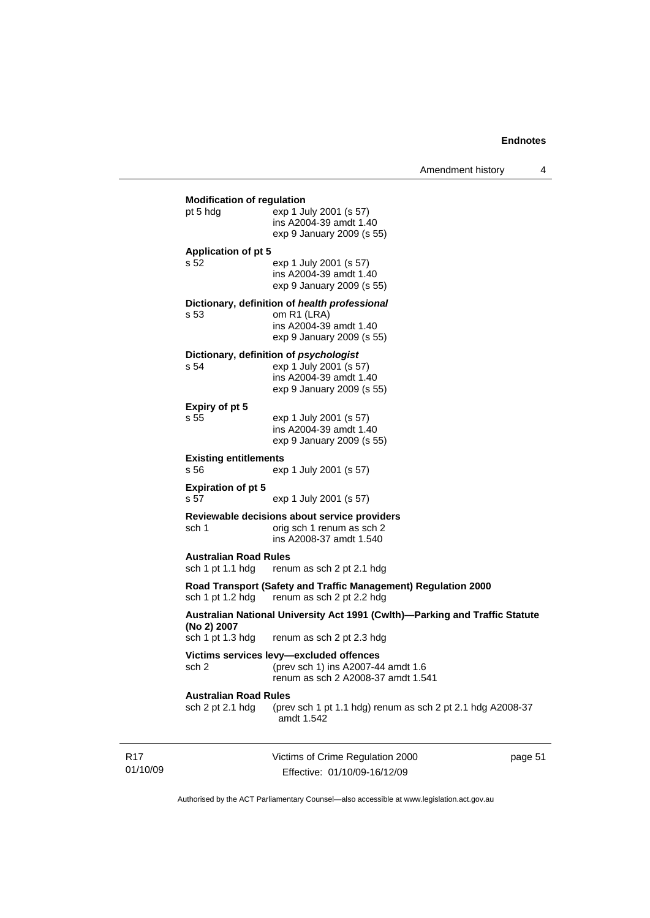|                                                  |                                                                                                                         | Amendment history | 4       |
|--------------------------------------------------|-------------------------------------------------------------------------------------------------------------------------|-------------------|---------|
| <b>Modification of regulation</b><br>pt 5 hdg    | exp 1 July 2001 (s 57)<br>ins A2004-39 amdt 1.40<br>exp 9 January 2009 (s 55)                                           |                   |         |
| <b>Application of pt 5</b><br>s 52               | exp 1 July 2001 (s 57)<br>ins A2004-39 amdt 1.40<br>exp 9 January 2009 (s 55)                                           |                   |         |
| s 53                                             | Dictionary, definition of health professional<br>om R1 (LRA)<br>ins A2004-39 amdt 1.40<br>exp 9 January 2009 (s 55)     |                   |         |
| s 54                                             | Dictionary, definition of psychologist<br>exp 1 July 2001 (s 57)<br>ins A2004-39 amdt 1.40<br>exp 9 January 2009 (s 55) |                   |         |
| Expiry of pt 5<br>s 55                           | exp 1 July 2001 (s 57)<br>ins A2004-39 amdt 1.40<br>exp 9 January 2009 (s 55)                                           |                   |         |
| <b>Existing entitlements</b><br>s 56             | exp 1 July 2001 (s 57)                                                                                                  |                   |         |
| <b>Expiration of pt 5</b><br>s 57                | exp 1 July 2001 (s 57)                                                                                                  |                   |         |
| sch 1                                            | Reviewable decisions about service providers<br>orig sch 1 renum as sch 2<br>ins A2008-37 amdt 1.540                    |                   |         |
| <b>Australian Road Rules</b><br>sch 1 pt 1.1 hdg | renum as sch 2 pt 2.1 hdg                                                                                               |                   |         |
|                                                  | Road Transport (Safety and Traffic Management) Regulation 2000<br>sch 1 pt 1.2 hdg renum as sch 2 pt 2.2 hdg            |                   |         |
| (No 2) 2007<br>sch 1 pt 1.3 hdg                  | Australian National University Act 1991 (Cwlth)—Parking and Traffic Statute<br>renum as sch 2 pt 2.3 hdg                |                   |         |
| sch 2                                            | Victims services levy-excluded offences<br>(prev sch 1) ins A2007-44 amdt 1.6<br>renum as sch 2 A2008-37 amdt 1.541     |                   |         |
| <b>Australian Road Rules</b><br>sch 2 pt 2.1 hdg | (prev sch 1 pt 1.1 hdg) renum as sch 2 pt 2.1 hdg A2008-37<br>amdt 1.542                                                |                   |         |
|                                                  | Victims of Crime Regulation 2000<br>Effective: 01/10/09-16/12/09                                                        |                   | page 51 |

Authorised by the ACT Parliamentary Counsel—also accessible at www.legislation.act.gov.au

R17 01/10/09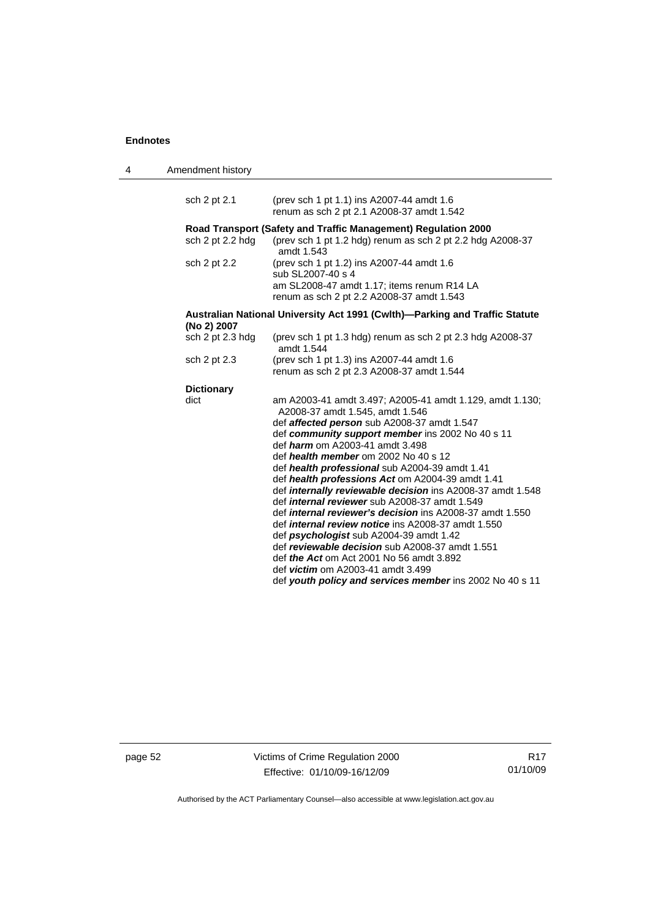| 4 | Amendment history                                                                          |                                                                                                                       |
|---|--------------------------------------------------------------------------------------------|-----------------------------------------------------------------------------------------------------------------------|
|   | sch 2 pt 2.1                                                                               | (prev sch 1 pt 1.1) ins A2007-44 amdt 1.6                                                                             |
|   |                                                                                            | renum as sch 2 pt 2.1 A2008-37 amdt 1.542                                                                             |
|   | Road Transport (Safety and Traffic Management) Regulation 2000                             |                                                                                                                       |
|   | sch 2 pt 2.2 hdg                                                                           | (prev sch 1 pt 1.2 hdg) renum as sch 2 pt 2.2 hdg A2008-37<br>amdt 1.543                                              |
|   | sch 2 pt 2.2                                                                               | (prev sch 1 pt 1.2) ins A2007-44 amdt 1.6<br>sub SL2007-40 s 4                                                        |
|   |                                                                                            | am SL2008-47 amdt 1.17; items renum R14 LA<br>renum as sch 2 pt 2.2 A2008-37 amdt 1.543                               |
|   | Australian National University Act 1991 (Cwlth)—Parking and Traffic Statute<br>(No 2) 2007 |                                                                                                                       |
|   | sch 2 pt 2.3 hdg                                                                           | (prev sch 1 pt 1.3 hdg) renum as sch 2 pt 2.3 hdg A2008-37<br>amdt 1.544                                              |
|   | sch 2 pt 2.3                                                                               | (prev sch 1 pt 1.3) ins A2007-44 amdt 1.6<br>renum as sch 2 pt 2.3 A2008-37 amdt 1.544                                |
|   | <b>Dictionary</b>                                                                          |                                                                                                                       |
|   | dict                                                                                       | am A2003-41 amdt 3.497; A2005-41 amdt 1.129, amdt 1.130;<br>A2008-37 amdt 1.545, amdt 1.546                           |
|   |                                                                                            | def <b>affected person</b> sub A2008-37 amdt 1.547                                                                    |
|   |                                                                                            | def community support member ins 2002 No 40 s 11<br>def <i>harm</i> om A2003-41 amdt 3.498                            |
|   |                                                                                            | def health member om 2002 No 40 s 12                                                                                  |
|   |                                                                                            | def health professional sub A2004-39 amdt 1.41                                                                        |
|   |                                                                                            | def health professions Act om A2004-39 amdt 1.41<br>def <i>internally reviewable decision</i> ins A2008-37 amdt 1.548 |
|   |                                                                                            | def <i>internal reviewer</i> sub A2008-37 amdt 1.549                                                                  |
|   |                                                                                            | def <i>internal reviewer's decision</i> ins A2008-37 amdt 1.550                                                       |
|   |                                                                                            | def <i>internal review notice</i> ins A2008-37 amdt 1.550                                                             |
|   |                                                                                            | def <i>psychologist</i> sub A2004-39 amdt 1.42                                                                        |
|   |                                                                                            | def reviewable decision sub A2008-37 amdt 1.551                                                                       |
|   |                                                                                            | def the Act om Act 2001 No 56 amdt 3.892<br>def <i>victim</i> om A2003-41 amdt 3.499                                  |
|   |                                                                                            | def youth policy and services member ins 2002 No 40 s 11                                                              |

page 52 Victims of Crime Regulation 2000 Effective: 01/10/09-16/12/09

R17 01/10/09